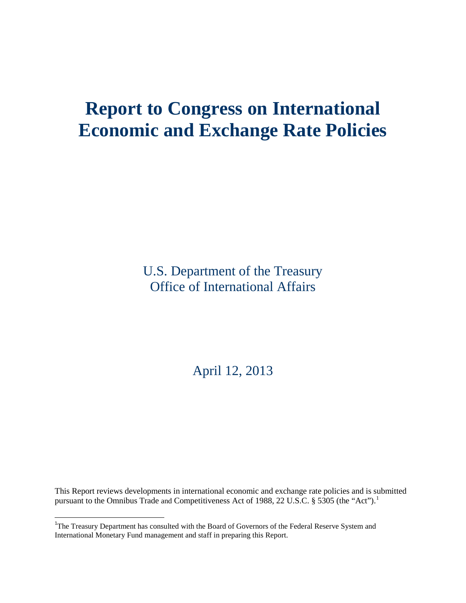# **Report to Congress on International Economic and Exchange Rate Policies**

U.S. Department of the Treasury Office of International Affairs

April 12, 2013

This Report reviews developments in international economic and exchange rate policies and is submitted pursuant to the Omnibus Trade and Competitiveness Act of [1](#page-10-0)988, 22 U.S.C. § 5305 (the "Act").<sup>1</sup>

<span id="page-0-0"></span><sup>&</sup>lt;sup>1</sup>The Treasury Department has consulted with the Board of Governors of the Federal Reserve System and International Monetary Fund management and staff in preparing this Report.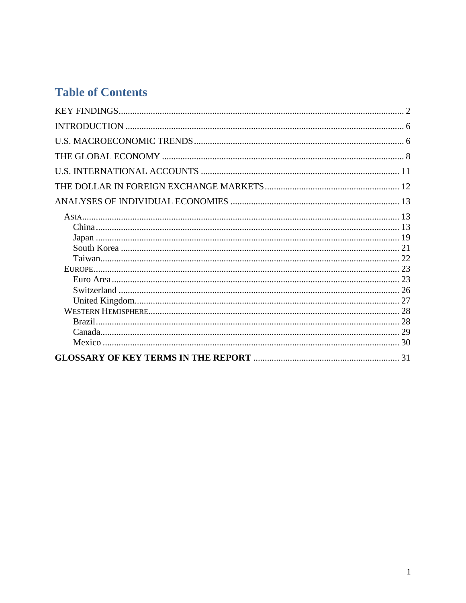# **Table of Contents**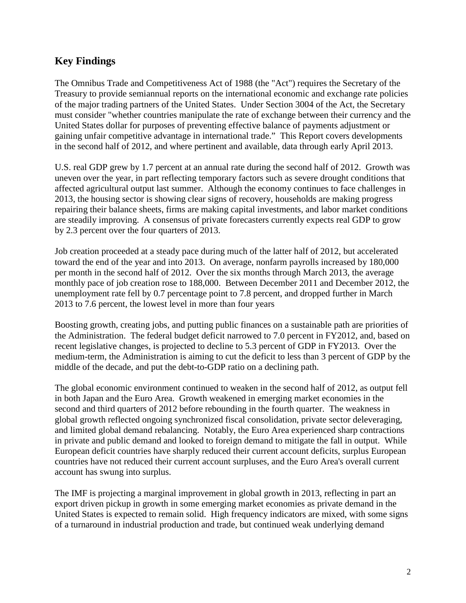# <span id="page-3-0"></span>**Key Findings**

The Omnibus Trade and Competitiveness Act of 1988 (the "Act") requires the Secretary of the Treasury to provide semiannual reports on the international economic and exchange rate policies of the major trading partners of the United States. Under Section 3004 of the Act, the Secretary must consider "whether countries manipulate the rate of exchange between their currency and the United States dollar for purposes of preventing effective balance of payments adjustment or gaining unfair competitive advantage in international trade." This Report covers developments in the second half of 2012, and where pertinent and available, data through early April 2013.

U.S. real GDP grew by 1.7 percent at an annual rate during the second half of 2012. Growth was uneven over the year, in part reflecting temporary factors such as severe drought conditions that affected agricultural output last summer. Although the economy continues to face challenges in 2013, the housing sector is showing clear signs of recovery, households are making progress repairing their balance sheets, firms are making capital investments, and labor market conditions are steadily improving. A consensus of private forecasters currently expects real GDP to grow by 2.3 percent over the four quarters of 2013.

Job creation proceeded at a steady pace during much of the latter half of 2012, but accelerated toward the end of the year and into 2013. On average, nonfarm payrolls increased by 180,000 per month in the second half of 2012. Over the six months through March 2013, the average monthly pace of job creation rose to 188,000. Between December 2011 and December 2012, the unemployment rate fell by 0.7 percentage point to 7.8 percent, and dropped further in March 2013 to 7.6 percent, the lowest level in more than four years

Boosting growth, creating jobs, and putting public finances on a sustainable path are priorities of the Administration. The federal budget deficit narrowed to 7.0 percent in FY2012, and, based on recent legislative changes, is projected to decline to 5.3 percent of GDP in FY2013. Over the medium-term, the Administration is aiming to cut the deficit to less than 3 percent of GDP by the middle of the decade, and put the debt-to-GDP ratio on a declining path.

The global economic environment continued to weaken in the second half of 2012, as output fell in both Japan and the Euro Area. Growth weakened in emerging market economies in the second and third quarters of 2012 before rebounding in the fourth quarter. The weakness in global growth reflected ongoing synchronized fiscal consolidation, private sector deleveraging, and limited global demand rebalancing. Notably, the Euro Area experienced sharp contractions in private and public demand and looked to foreign demand to mitigate the fall in output. While European deficit countries have sharply reduced their current account deficits, surplus European countries have not reduced their current account surpluses, and the Euro Area's overall current account has swung into surplus.

The IMF is projecting a marginal improvement in global growth in 2013, reflecting in part an export driven pickup in growth in some emerging market economies as private demand in the United States is expected to remain solid. High frequency indicators are mixed, with some signs of a turnaround in industrial production and trade, but continued weak underlying demand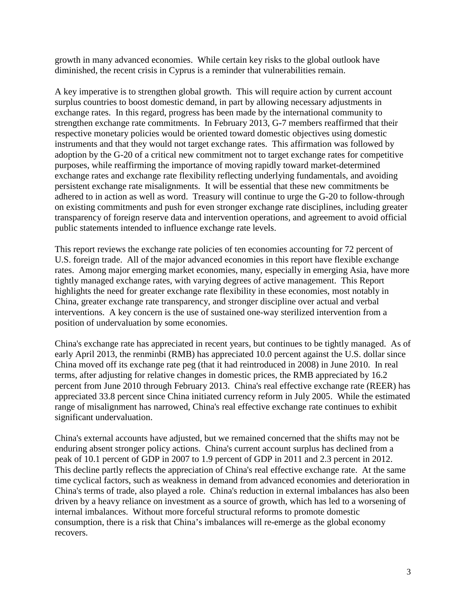growth in many advanced economies. While certain key risks to the global outlook have diminished, the recent crisis in Cyprus is a reminder that vulnerabilities remain.

A key imperative is to strengthen global growth. This will require action by current account surplus countries to boost domestic demand, in part by allowing necessary adjustments in exchange rates. In this regard, progress has been made by the international community to strengthen exchange rate commitments. In February 2013, G-7 members reaffirmed that their respective monetary policies would be oriented toward domestic objectives using domestic instruments and that they would not target exchange rates. This affirmation was followed by adoption by the G-20 of a critical new commitment not to target exchange rates for competitive purposes, while reaffirming the importance of moving rapidly toward market-determined exchange rates and exchange rate flexibility reflecting underlying fundamentals, and avoiding persistent exchange rate misalignments. It will be essential that these new commitments be adhered to in action as well as word. Treasury will continue to urge the G-20 to follow-through on existing commitments and push for even stronger exchange rate disciplines, including greater transparency of foreign reserve data and intervention operations, and agreement to avoid official public statements intended to influence exchange rate levels.

This report reviews the exchange rate policies of ten economies accounting for 72 percent of U.S. foreign trade. All of the major advanced economies in this report have flexible exchange rates. Among major emerging market economies, many, especially in emerging Asia, have more tightly managed exchange rates, with varying degrees of active management. This Report highlights the need for greater exchange rate flexibility in these economies, most notably in China, greater exchange rate transparency, and stronger discipline over actual and verbal interventions. A key concern is the use of sustained one-way sterilized intervention from a position of undervaluation by some economies.

China's exchange rate has appreciated in recent years, but continues to be tightly managed. As of early April 2013, the renminbi (RMB) has appreciated 10.0 percent against the U.S. dollar since China moved off its exchange rate peg (that it had reintroduced in 2008) in June 2010. In real terms, after adjusting for relative changes in domestic prices, the RMB appreciated by 16.2 percent from June 2010 through February 2013. China's real effective exchange rate (REER) has appreciated 33.8 percent since China initiated currency reform in July 2005. While the estimated range of misalignment has narrowed, China's real effective exchange rate continues to exhibit significant undervaluation.

China's external accounts have adjusted, but we remained concerned that the shifts may not be enduring absent stronger policy actions. China's current account surplus has declined from a peak of 10.1 percent of GDP in 2007 to 1.9 percent of GDP in 2011 and 2.3 percent in 2012. This decline partly reflects the appreciation of China's real effective exchange rate. At the same time cyclical factors, such as weakness in demand from advanced economies and deterioration in China's terms of trade, also played a role. China's reduction in external imbalances has also been driven by a heavy reliance on investment as a source of growth, which has led to a worsening of internal imbalances. Without more forceful structural reforms to promote domestic consumption, there is a risk that China's imbalances will re-emerge as the global economy recovers.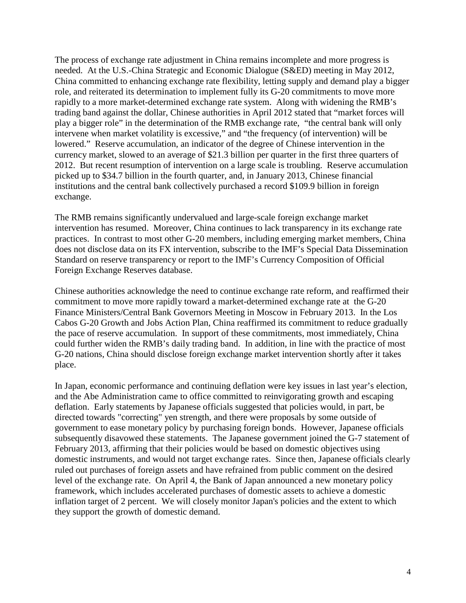The process of exchange rate adjustment in China remains incomplete and more progress is needed. At the U.S.-China Strategic and Economic Dialogue (S&ED) meeting in May 2012, China committed to enhancing exchange rate flexibility, letting supply and demand play a bigger role, and reiterated its determination to implement fully its G-20 commitments to move more rapidly to a more market-determined exchange rate system. Along with widening the RMB's trading band against the dollar, Chinese authorities in April 2012 stated that "market forces will play a bigger role" in the determination of the RMB exchange rate, "the central bank will only intervene when market volatility is excessive," and "the frequency (of intervention) will be lowered." Reserve accumulation, an indicator of the degree of Chinese intervention in the currency market, slowed to an average of \$21.3 billion per quarter in the first three quarters of 2012. But recent resumption of intervention on a large scale is troubling. Reserve accumulation picked up to \$34.7 billion in the fourth quarter, and, in January 2013, Chinese financial institutions and the central bank collectively purchased a record \$109.9 billion in foreign exchange.

The RMB remains significantly undervalued and large-scale foreign exchange market intervention has resumed. Moreover, China continues to lack transparency in its exchange rate practices. In contrast to most other G-20 members, including emerging market members, China does not disclose data on its FX intervention, subscribe to the IMF's Special Data Dissemination Standard on reserve transparency or report to the IMF's Currency Composition of Official Foreign Exchange Reserves database.

Chinese authorities acknowledge the need to continue exchange rate reform, and reaffirmed their commitment to move more rapidly toward a market-determined exchange rate at the G-20 Finance Ministers/Central Bank Governors Meeting in Moscow in February 2013. In the Los Cabos G-20 Growth and Jobs Action Plan, China reaffirmed its commitment to reduce gradually the pace of reserve accumulation. In support of these commitments, most immediately, China could further widen the RMB's daily trading band. In addition, in line with the practice of most G-20 nations, China should disclose foreign exchange market intervention shortly after it takes place.

In Japan, economic performance and continuing deflation were key issues in last year's election, and the Abe Administration came to office committed to reinvigorating growth and escaping deflation. Early statements by Japanese officials suggested that policies would, in part, be directed towards "correcting" yen strength, and there were proposals by some outside of government to ease monetary policy by purchasing foreign bonds. However, Japanese officials subsequently disavowed these statements. The Japanese government joined the G-7 statement of February 2013, affirming that their policies would be based on domestic objectives using domestic instruments, and would not target exchange rates. Since then, Japanese officials clearly ruled out purchases of foreign assets and have refrained from public comment on the desired level of the exchange rate. On April 4, the Bank of Japan announced a new monetary policy framework, which includes accelerated purchases of domestic assets to achieve a domestic inflation target of 2 percent. We will closely monitor Japan's policies and the extent to which they support the growth of domestic demand.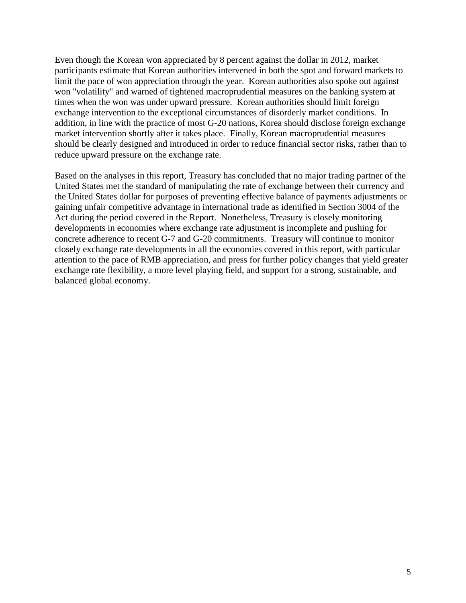Even though the Korean won appreciated by 8 percent against the dollar in 2012, market participants estimate that Korean authorities intervened in both the spot and forward markets to limit the pace of won appreciation through the year. Korean authorities also spoke out against won "volatility" and warned of tightened macroprudential measures on the banking system at times when the won was under upward pressure. Korean authorities should limit foreign exchange intervention to the exceptional circumstances of disorderly market conditions. In addition, in line with the practice of most G-20 nations, Korea should disclose foreign exchange market intervention shortly after it takes place. Finally, Korean macroprudential measures should be clearly designed and introduced in order to reduce financial sector risks, rather than to reduce upward pressure on the exchange rate.

Based on the analyses in this report, Treasury has concluded that no major trading partner of the United States met the standard of manipulating the rate of exchange between their currency and the United States dollar for purposes of preventing effective balance of payments adjustments or gaining unfair competitive advantage in international trade as identified in Section 3004 of the Act during the period covered in the Report. Nonetheless, Treasury is closely monitoring developments in economies where exchange rate adjustment is incomplete and pushing for concrete adherence to recent G-7 and G-20 commitments. Treasury will continue to monitor closely exchange rate developments in all the economies covered in this report, with particular attention to the pace of RMB appreciation, and press for further policy changes that yield greater exchange rate flexibility, a more level playing field, and support for a strong, sustainable, and balanced global economy.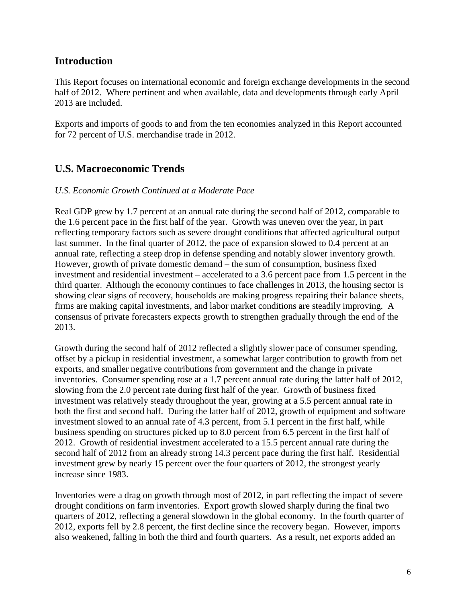# <span id="page-7-0"></span>**Introduction**

This Report focuses on international economic and foreign exchange developments in the second half of 2012. Where pertinent and when available, data and developments through early April 2013 are included.

Exports and imports of goods to and from the ten economies analyzed in this Report accounted for 72 percent of U.S. merchandise trade in 2012.

# <span id="page-7-1"></span>**U.S. Macroeconomic Trends**

#### *U.S. Economic Growth Continued at a Moderate Pace*

Real GDP grew by 1.7 percent at an annual rate during the second half of 2012, comparable to the 1.6 percent pace in the first half of the year. Growth was uneven over the year, in part reflecting temporary factors such as severe drought conditions that affected agricultural output last summer. In the final quarter of 2012, the pace of expansion slowed to 0.4 percent at an annual rate, reflecting a steep drop in defense spending and notably slower inventory growth. However, growth of private domestic demand – the sum of consumption, business fixed investment and residential investment – accelerated to a 3.6 percent pace from 1.5 percent in the third quarter. Although the economy continues to face challenges in 2013, the housing sector is showing clear signs of recovery, households are making progress repairing their balance sheets, firms are making capital investments, and labor market conditions are steadily improving. A consensus of private forecasters expects growth to strengthen gradually through the end of the 2013.

Growth during the second half of 2012 reflected a slightly slower pace of consumer spending, offset by a pickup in residential investment, a somewhat larger contribution to growth from net exports, and smaller negative contributions from government and the change in private inventories. Consumer spending rose at a 1.7 percent annual rate during the latter half of 2012, slowing from the 2.0 percent rate during first half of the year. Growth of business fixed investment was relatively steady throughout the year, growing at a 5.5 percent annual rate in both the first and second half. During the latter half of 2012, growth of equipment and software investment slowed to an annual rate of 4.3 percent, from 5.1 percent in the first half, while business spending on structures picked up to 8.0 percent from 6.5 percent in the first half of 2012. Growth of residential investment accelerated to a 15.5 percent annual rate during the second half of 2012 from an already strong 14.3 percent pace during the first half. Residential investment grew by nearly 15 percent over the four quarters of 2012, the strongest yearly increase since 1983.

Inventories were a drag on growth through most of 2012, in part reflecting the impact of severe drought conditions on farm inventories. Export growth slowed sharply during the final two quarters of 2012, reflecting a general slowdown in the global economy. In the fourth quarter of 2012, exports fell by 2.8 percent, the first decline since the recovery began. However, imports also weakened, falling in both the third and fourth quarters. As a result, net exports added an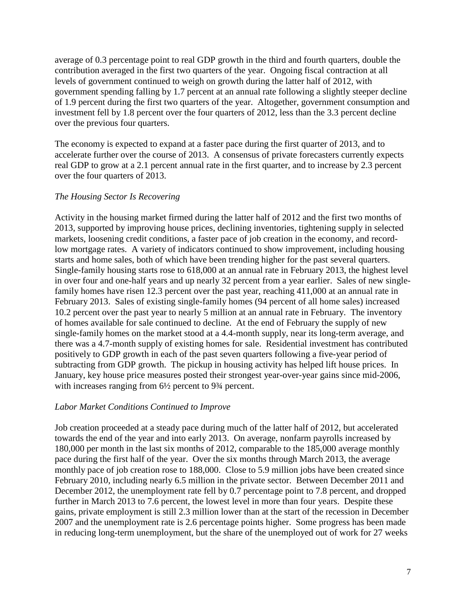average of 0.3 percentage point to real GDP growth in the third and fourth quarters, double the contribution averaged in the first two quarters of the year. Ongoing fiscal contraction at all levels of government continued to weigh on growth during the latter half of 2012, with government spending falling by 1.7 percent at an annual rate following a slightly steeper decline of 1.9 percent during the first two quarters of the year. Altogether, government consumption and investment fell by 1.8 percent over the four quarters of 2012, less than the 3.3 percent decline over the previous four quarters.

The economy is expected to expand at a faster pace during the first quarter of 2013, and to accelerate further over the course of 2013. A consensus of private forecasters currently expects real GDP to grow at a 2.1 percent annual rate in the first quarter, and to increase by 2.3 percent over the four quarters of 2013.

#### *The Housing Sector Is Recovering*

Activity in the housing market firmed during the latter half of 2012 and the first two months of 2013, supported by improving house prices, declining inventories, tightening supply in selected markets, loosening credit conditions, a faster pace of job creation in the economy, and recordlow mortgage rates. A variety of indicators continued to show improvement, including housing starts and home sales, both of which have been trending higher for the past several quarters. Single-family housing starts rose to 618,000 at an annual rate in February 2013, the highest level in over four and one-half years and up nearly 32 percent from a year earlier. Sales of new singlefamily homes have risen 12.3 percent over the past year, reaching 411,000 at an annual rate in February 2013. Sales of existing single-family homes (94 percent of all home sales) increased 10.2 percent over the past year to nearly 5 million at an annual rate in February. The inventory of homes available for sale continued to decline. At the end of February the supply of new single-family homes on the market stood at a 4.4-month supply, near its long-term average, and there was a 4.7-month supply of existing homes for sale. Residential investment has contributed positively to GDP growth in each of the past seven quarters following a five-year period of subtracting from GDP growth. The pickup in housing activity has helped lift house prices. In January, key house price measures posted their strongest year-over-year gains since mid-2006, with increases ranging from  $6\frac{1}{2}$  percent to 9<sup>3</sup>/<sub>4</sub> percent.

#### *Labor Market Conditions Continued to Improve*

Job creation proceeded at a steady pace during much of the latter half of 2012, but accelerated towards the end of the year and into early 2013. On average, nonfarm payrolls increased by 180,000 per month in the last six months of 2012, comparable to the 185,000 average monthly pace during the first half of the year. Over the six months through March 2013, the average monthly pace of job creation rose to 188,000. Close to 5.9 million jobs have been created since February 2010, including nearly 6.5 million in the private sector. Between December 2011 and December 2012, the unemployment rate fell by 0.7 percentage point to 7.8 percent, and dropped further in March 2013 to 7.6 percent, the lowest level in more than four years. Despite these gains, private employment is still 2.3 million lower than at the start of the recession in December 2007 and the unemployment rate is 2.6 percentage points higher. Some progress has been made in reducing long-term unemployment, but the share of the unemployed out of work for 27 weeks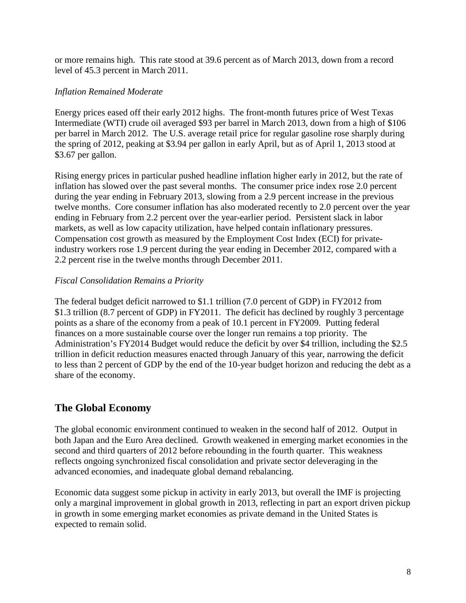or more remains high. This rate stood at 39.6 percent as of March 2013, down from a record level of 45.3 percent in March 2011.

#### *Inflation Remained Moderate*

Energy prices eased off their early 2012 highs. The front-month futures price of West Texas Intermediate (WTI) crude oil averaged \$93 per barrel in March 2013, down from a high of \$106 per barrel in March 2012. The U.S. average retail price for regular gasoline rose sharply during the spring of 2012, peaking at \$3.94 per gallon in early April, but as of April 1, 2013 stood at \$3.67 per gallon.

Rising energy prices in particular pushed headline inflation higher early in 2012, but the rate of inflation has slowed over the past several months. The consumer price index rose 2.0 percent during the year ending in February 2013, slowing from a 2.9 percent increase in the previous twelve months. Core consumer inflation has also moderated recently to 2.0 percent over the year ending in February from 2.2 percent over the year-earlier period. Persistent slack in labor markets, as well as low capacity utilization, have helped contain inflationary pressures. Compensation cost growth as measured by the Employment Cost Index (ECI) for privateindustry workers rose 1.9 percent during the year ending in December 2012, compared with a 2.2 percent rise in the twelve months through December 2011.

#### *Fiscal Consolidation Remains a Priority*

The federal budget deficit narrowed to \$1.1 trillion (7.0 percent of GDP) in FY2012 from \$1.3 trillion (8.7 percent of GDP) in FY2011. The deficit has declined by roughly 3 percentage points as a share of the economy from a peak of 10.1 percent in FY2009. Putting federal finances on a more sustainable course over the longer run remains a top priority. The Administration's FY2014 Budget would reduce the deficit by over \$4 trillion, including the \$2.5 trillion in deficit reduction measures enacted through January of this year, narrowing the deficit to less than 2 percent of GDP by the end of the 10-year budget horizon and reducing the debt as a share of the economy.

# <span id="page-9-0"></span>**The Global Economy**

The global economic environment continued to weaken in the second half of 2012. Output in both Japan and the Euro Area declined. Growth weakened in emerging market economies in the second and third quarters of 2012 before rebounding in the fourth quarter. This weakness reflects ongoing synchronized fiscal consolidation and private sector deleveraging in the advanced economies, and inadequate global demand rebalancing.

Economic data suggest some pickup in activity in early 2013, but overall the IMF is projecting only a marginal improvement in global growth in 2013, reflecting in part an export driven pickup in growth in some emerging market economies as private demand in the United States is expected to remain solid.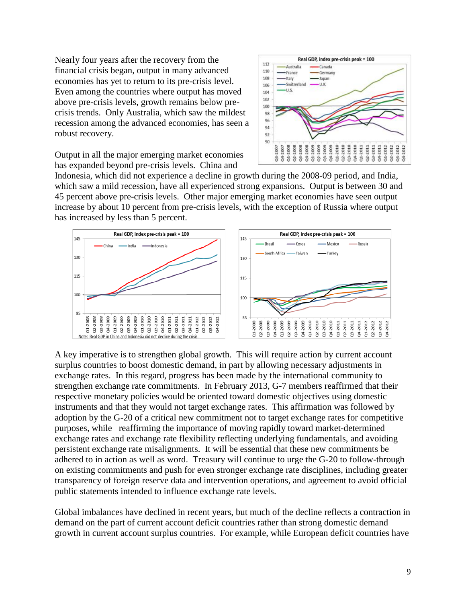Nearly four years after the recovery from the financial crisis began, output in many advanced economies has yet to return to its pre-crisis level. Even among the countries where output has moved above pre-crisis levels, growth remains below precrisis trends. Only Australia, which saw the mildest recession among the advanced economies, has seen a robust recovery.

Output in all the major emerging market economies has expanded beyond pre-crisis levels. China and



Indonesia, which did not experience a decline in growth during the 2008-09 period, and India, which saw a mild recession, have all experienced strong expansions. Output is between 30 and 45 percent above pre-crisis levels. Other major emerging market economies have seen output increase by about 10 percent from pre-crisis levels, with the exception of Russia where output has increased by less than 5 percent.



A key imperative is to strengthen global growth. This will require action by current account surplus countries to boost domestic demand, in part by allowing necessary adjustments in exchange rates. In this regard, progress has been made by the international community to strengthen exchange rate commitments. In February 2013, G-7 members reaffirmed that their respective monetary policies would be oriented toward domestic objectives using domestic instruments and that they would not target exchange rates. This affirmation was followed by adoption by the G-20 of a critical new commitment not to target exchange rates for competitive purposes, while reaffirming the importance of moving rapidly toward market-determined exchange rates and exchange rate flexibility reflecting underlying fundamentals, and avoiding persistent exchange rate misalignments. It will be essential that these new commitments be adhered to in action as well as word. Treasury will continue to urge the G-20 to follow-through on existing commitments and push for even stronger exchange rate disciplines, including greater transparency of foreign reserve data and intervention operations, and agreement to avoid official public statements intended to influence exchange rate levels.

<span id="page-10-0"></span>Global imbalances have declined in recent years, but much of the decline reflects a contraction in demand on the part of current account deficit countries rather than strong domestic demand growth in current account surplus countries. For example, while European deficit countries have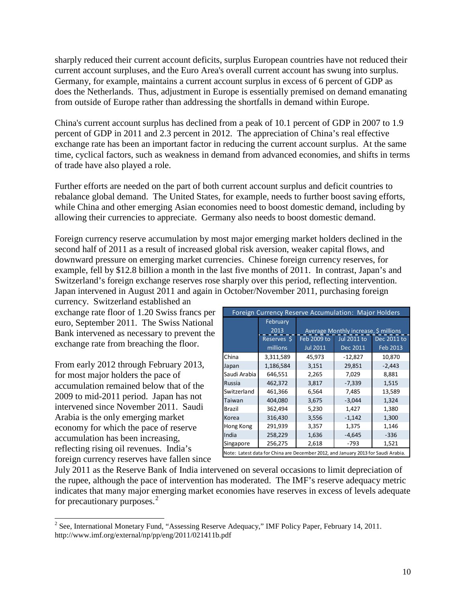sharply reduced their current account deficits, surplus European countries have not reduced their current account surpluses, and the Euro Area's overall current account has swung into surplus. Germany, for example, maintains a current account surplus in excess of 6 percent of GDP as does the Netherlands. Thus, adjustment in Europe is essentially premised on demand emanating from outside of Europe rather than addressing the shortfalls in demand within Europe.

China's current account surplus has declined from a peak of 10.1 percent of GDP in 2007 to 1.9 percent of GDP in 2011 and 2.3 percent in 2012. The appreciation of China's real effective exchange rate has been an important factor in reducing the current account surplus. At the same time, cyclical factors, such as weakness in demand from advanced economies, and shifts in terms of trade have also played a role.

Further efforts are needed on the part of both current account surplus and deficit countries to rebalance global demand. The United States, for example, needs to further boost saving efforts, while China and other emerging Asian economies need to boost domestic demand, including by allowing their currencies to appreciate. Germany also needs to boost domestic demand.

Foreign currency reserve accumulation by most major emerging market holders declined in the second half of 2011 as a result of increased global risk aversion, weaker capital flows, and downward pressure on emerging market currencies. Chinese foreign currency reserves, for example, fell by \$12.8 billion a month in the last five months of 2011. In contrast, Japan's and Switzerland's foreign exchange reserves rose sharply over this period, reflecting intervention. Japan intervened in August 2011 and again in October/November 2011, purchasing foreign

currency. Switzerland established an exchange rate floor of 1.20 Swiss francs per euro, September 2011. The Swiss National Bank intervened as necessary to prevent the exchange rate from breaching the floor.

From early 2012 through February 2013, for most major holders the pace of accumulation remained below that of the 2009 to mid-2011 period. Japan has not intervened since November 2011. Saudi Arabia is the only emerging market economy for which the pace of reserve accumulation has been increasing, reflecting rising oil revenues. India's foreign currency reserves have fallen since

| Foreign Currency Reserve Accumulation: Major Holders                              |                  |                                                                            |           |                    |  |  |  |
|-----------------------------------------------------------------------------------|------------------|----------------------------------------------------------------------------|-----------|--------------------|--|--|--|
|                                                                                   | February<br>2013 |                                                                            |           |                    |  |  |  |
|                                                                                   |                  | Average Monthly increase, \$ millions<br>Feb 2009 to<br><b>Jul 2011 to</b> |           |                    |  |  |  |
|                                                                                   | Reserves \$      |                                                                            |           | <b>Dec 2011 to</b> |  |  |  |
|                                                                                   | millions         | <b>Jul 2011</b>                                                            | Dec 2011  | Feb 2013           |  |  |  |
| China                                                                             | 3,311,589        | 45,973                                                                     | $-12,827$ | 10,870             |  |  |  |
| Japan                                                                             | 1,186,584        | 3,151                                                                      | 29,851    | $-2,443$           |  |  |  |
| Saudi Arabia                                                                      | 646,551          | 2,265                                                                      | 7,029     | 8,881              |  |  |  |
| Russia                                                                            | 462,372          | 3,817                                                                      | $-7,339$  | 1,515              |  |  |  |
| Switzerland                                                                       | 461,366          | 6,564                                                                      | 7,485     | 13,589             |  |  |  |
| Taiwan                                                                            | 404,080          | 3,675                                                                      | $-3,044$  | 1,324              |  |  |  |
| <b>Brazil</b>                                                                     | 362,494          | 5,230                                                                      | 1,427     | 1,380              |  |  |  |
| Korea                                                                             | 316,430          | 3,556                                                                      | $-1,142$  | 1,300              |  |  |  |
| Hong Kong                                                                         | 291,939          | 3,357                                                                      | 1,375     | 1,146              |  |  |  |
| India                                                                             | 258,229          | 1,636                                                                      | $-4,645$  | $-336$             |  |  |  |
| Singapore                                                                         | 256,275          | 2,618                                                                      | $-793$    | 1,521              |  |  |  |
| Note: Latest data for China are December 2012, and January 2013 for Saudi Arabia. |                  |                                                                            |           |                    |  |  |  |

July 2011 as the Reserve Bank of India intervened on several occasions to limit depreciation of the rupee, although the pace of intervention has moderated. The IMF's reserve adequacy metric indicates that many major emerging market economies have reserves in excess of levels adequate for precautionary purposes. [2](#page-0-0)

<span id="page-11-0"></span><sup>&</sup>lt;sup>2</sup> See, International Monetary Fund, "Assessing Reserve Adequacy," IMF Policy Paper, February 14, 2011. http://www.imf.org/external/np/pp/eng/2011/021411b.pdf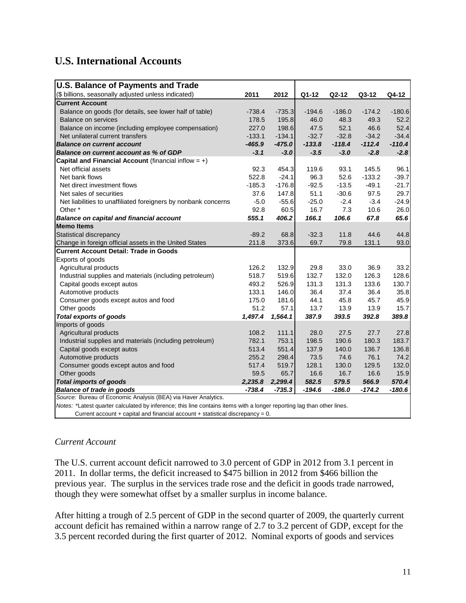# <span id="page-12-0"></span>**U.S. International Accounts**

| <b>U.S. Balance of Payments and Trade</b>                                                                              |          |          |          |          |          |          |  |  |
|------------------------------------------------------------------------------------------------------------------------|----------|----------|----------|----------|----------|----------|--|--|
| (\$ billions, seasonally adjusted unless indicated)                                                                    | 2011     | 2012     | Q1-12    | Q2-12    | $Q3-12$  | Q4-12    |  |  |
| <b>Current Account</b>                                                                                                 |          |          |          |          |          |          |  |  |
| Balance on goods (for details, see lower half of table)                                                                | $-738.4$ | $-735.3$ | $-194.6$ | $-186.0$ | $-174.2$ | $-180.6$ |  |  |
| <b>Balance on services</b>                                                                                             | 178.5    | 195.8    | 46.0     | 48.3     | 49.3     | 52.2     |  |  |
| Balance on income (including employee compensation)                                                                    | 227.0    | 198.6    | 47.5     | 52.1     | 46.6     | 52.4     |  |  |
| Net unilateral current transfers                                                                                       | $-133.1$ | $-134.1$ | $-32.7$  | $-32.8$  | $-34.2$  | $-34.4$  |  |  |
| <b>Balance on current account</b>                                                                                      | $-465.9$ | $-475.0$ | $-133.8$ | $-118.4$ | $-112.4$ | $-110.4$ |  |  |
| Balance on current account as % of GDP                                                                                 | $-3.1$   | $-3.0$   | $-3.5$   | $-3.0$   | $-2.8$   | $-2.8$   |  |  |
| Capital and Financial Account (financial inflow = $+)$                                                                 |          |          |          |          |          |          |  |  |
| Net official assets                                                                                                    | 92.3     | 454.3    | 119.6    | 93.1     | 145.5    | 96.1     |  |  |
| Net bank flows                                                                                                         | 522.8    | $-24.1$  | 96.3     | 52.6     | $-133.2$ | $-39.7$  |  |  |
| Net direct investment flows                                                                                            | $-185.3$ | $-176.8$ | $-92.5$  | $-13.5$  | $-49.1$  | $-21.7$  |  |  |
| Net sales of securities                                                                                                | 37.6     | 147.8    | 51.1     | $-30.6$  | 97.5     | 29.7     |  |  |
| Net liabilities to unaffiliated foreigners by nonbank concerns                                                         | $-5.0$   | $-55.6$  | $-25.0$  | $-2.4$   | $-3.4$   | $-24.9$  |  |  |
| Other <sup>*</sup>                                                                                                     | 92.8     | 60.5     | 16.7     | 7.3      | 10.6     | 26.0     |  |  |
| <b>Balance on capital and financial account</b>                                                                        | 555.1    | 406.2    | 166.1    | 106.6    | 67.8     | 65.6     |  |  |
| <b>Memo Items</b>                                                                                                      |          |          |          |          |          |          |  |  |
| Statistical discrepancy                                                                                                | $-89.2$  | 68.8     | $-32.3$  | 11.8     | 44.6     | 44.8     |  |  |
| Change in foreign official assets in the United States                                                                 | 211.8    | 373.6    | 69.7     | 79.8     | 131.1    | 93.0     |  |  |
| <b>Current Account Detail: Trade in Goods</b>                                                                          |          |          |          |          |          |          |  |  |
| Exports of goods                                                                                                       |          |          |          |          |          |          |  |  |
| Agricultural products                                                                                                  | 126.2    | 132.9    | 29.8     | 33.0     | 36.9     | 33.2     |  |  |
| Industrial supplies and materials (including petroleum)                                                                | 518.7    | 519.6    | 132.7    | 132.0    | 126.3    | 128.6    |  |  |
| Capital goods except autos                                                                                             | 493.2    | 526.9    | 131.3    | 131.3    | 133.6    | 130.7    |  |  |
| Automotive products                                                                                                    | 133.1    | 146.0    | 36.4     | 37.4     | 36.4     | 35.8     |  |  |
| Consumer goods except autos and food                                                                                   | 175.0    | 181.6    | 44.1     | 45.8     | 45.7     | 45.9     |  |  |
| Other goods                                                                                                            | 51.2     | 57.1     | 13.7     | 13.9     | 13.9     | 15.7     |  |  |
| <b>Total exports of goods</b>                                                                                          | 1,497.4  | 1,564.1  | 387.9    | 393.5    | 392.8    | 389.8    |  |  |
| Imports of goods                                                                                                       |          |          |          |          |          |          |  |  |
| Agricultural products                                                                                                  | 108.2    | 111.1    | 28.0     | 27.5     | 27.7     | 27.8     |  |  |
| Industrial supplies and materials (including petroleum)                                                                | 782.1    | 753.1    | 198.5    | 190.6    | 180.3    | 183.7    |  |  |
| Capital goods except autos                                                                                             | 513.4    | 551.4    | 137.9    | 140.0    | 136.7    | 136.8    |  |  |
| Automotive products                                                                                                    | 255.2    | 298.4    | 73.5     | 74.6     | 76.1     | 74.2     |  |  |
| Consumer goods except autos and food                                                                                   | 517.4    | 519.7    | 128.1    | 130.0    | 129.5    | 132.0    |  |  |
| Other goods                                                                                                            | 59.5     | 65.7     | 16.6     | 16.7     | 16.6     | 15.9     |  |  |
| <b>Total imports of goods</b>                                                                                          | 2,235.8  | 2,299.4  | 582.5    | 579.5    | 566.9    | 570.4    |  |  |
| <b>Balance of trade in goods</b>                                                                                       | $-738.4$ | $-735.3$ | $-194.6$ | $-186.0$ | $-174.2$ | $-180.6$ |  |  |
| Source: Bureau of Economic Analysis (BEA) via Haver Analytics.                                                         |          |          |          |          |          |          |  |  |
| Notes: *Latest quarter calculated by inference; this line contains items with a longer reporting lag than other lines. |          |          |          |          |          |          |  |  |
| Current account + capital and financial account + statistical discrepancy = $0$ .                                      |          |          |          |          |          |          |  |  |

*Current Account*

The U.S. current account deficit narrowed to 3.0 percent of GDP in 2012 from 3.1 percent in 2011. In dollar terms, the deficit increased to \$475 billion in 2012 from \$466 billion the previous year. The surplus in the services trade rose and the deficit in goods trade narrowed, though they were somewhat offset by a smaller surplus in income balance.

After hitting a trough of 2.5 percent of GDP in the second quarter of 2009, the quarterly current account deficit has remained within a narrow range of 2.7 to 3.2 percent of GDP, except for the 3.5 percent recorded during the first quarter of 2012. Nominal exports of goods and services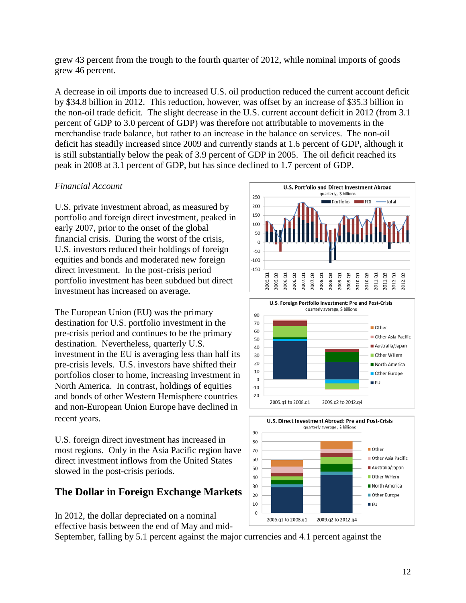grew 43 percent from the trough to the fourth quarter of 2012, while nominal imports of goods grew 46 percent.

A decrease in oil imports due to increased U.S. oil production reduced the current account deficit by \$34.8 billion in 2012. This reduction, however, was offset by an increase of \$35.3 billion in the non-oil trade deficit. The slight decrease in the U.S. current account deficit in 2012 (from 3.1 percent of GDP to 3.0 percent of GDP) was therefore not attributable to movements in the merchandise trade balance, but rather to an increase in the balance on services. The non-oil deficit has steadily increased since 2009 and currently stands at 1.6 percent of GDP, although it is still substantially below the peak of 3.9 percent of GDP in 2005. The oil deficit reached its peak in 2008 at 3.1 percent of GDP, but has since declined to 1.7 percent of GDP.

#### *Financial Account*

U.S. private investment abroad, as measured by portfolio and foreign direct investment, peaked in early 2007, prior to the onset of the global financial crisis. During the worst of the crisis, U.S. investors reduced their holdings of foreign equities and bonds and moderated new foreign direct investment. In the post-crisis period portfolio investment has been subdued but direct investment has increased on average.

The European Union (EU) was the primary destination for U.S. portfolio investment in the pre-crisis period and continues to be the primary destination. Nevertheless, quarterly U.S. investment in the EU is averaging less than half its pre-crisis levels. U.S. investors have shifted their portfolios closer to home, increasing investment in North America. In contrast, holdings of equities and bonds of other Western Hemisphere countries and non-European Union Europe have declined in recent years.

U.S. foreign direct investment has increased in most regions. Only in the Asia Pacific region have direct investment inflows from the United States slowed in the post-crisis periods.

# <span id="page-13-0"></span>**The Dollar in Foreign Exchange Markets**

In 2012, the dollar depreciated on a nominal effective basis between the end of May and mid-

September, falling by 5.1 percent against the major currencies and 4.1 percent against the



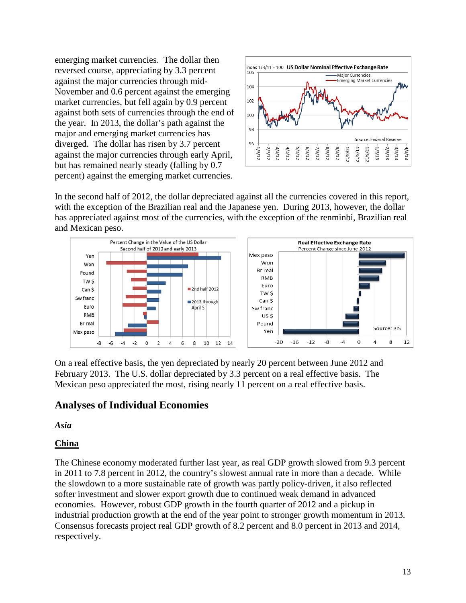emerging market currencies. The dollar then reversed course, appreciating by 3.3 percent against the major currencies through mid-November and 0.6 percent against the emerging market currencies, but fell again by 0.9 percent against both sets of currencies through the end of the year. In 2013, the dollar's path against the major and emerging market currencies has diverged. The dollar has risen by 3.7 percent against the major currencies through early April, but has remained nearly steady (falling by 0.7 percent) against the emerging market currencies.



In the second half of 2012, the dollar depreciated against all the currencies covered in this report, with the exception of the Brazilian real and the Japanese yen. During 2013, however, the dollar has appreciated against most of the currencies, with the exception of the renminbi, Brazilian real and Mexican peso.



On a real effective basis, the yen depreciated by nearly 20 percent between June 2012 and February 2013. The U.S. dollar depreciated by 3.3 percent on a real effective basis. The Mexican peso appreciated the most, rising nearly 11 percent on a real effective basis.

# <span id="page-14-0"></span>**Analyses of Individual Economies**

<span id="page-14-1"></span>*Asia*

# <span id="page-14-2"></span>**China**

The Chinese economy moderated further last year, as real GDP growth slowed from 9.3 percent in 2011 to 7.8 percent in 2012, the country's slowest annual rate in more than a decade. While the slowdown to a more sustainable rate of growth was partly policy-driven, it also reflected softer investment and slower export growth due to continued weak demand in advanced economies. However, robust GDP growth in the fourth quarter of 2012 and a pickup in industrial production growth at the end of the year point to stronger growth momentum in 2013. Consensus forecasts project real GDP growth of 8.2 percent and 8.0 percent in 2013 and 2014, respectively.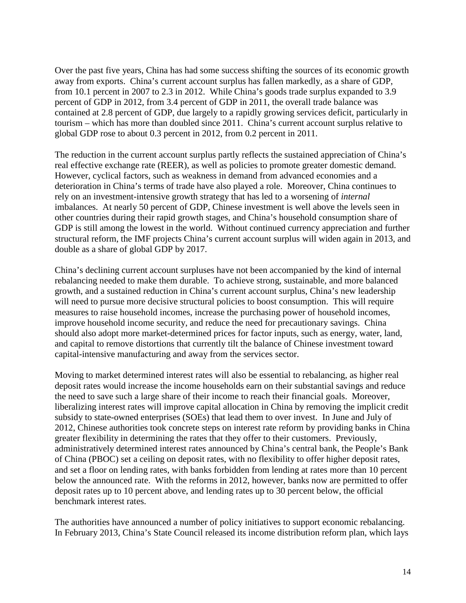Over the past five years, China has had some success shifting the sources of its economic growth away from exports. China's current account surplus has fallen markedly, as a share of GDP, from 10.1 percent in 2007 to 2.3 in 2012. While China's goods trade surplus expanded to 3.9 percent of GDP in 2012, from 3.4 percent of GDP in 2011, the overall trade balance was contained at 2.8 percent of GDP, due largely to a rapidly growing services deficit, particularly in tourism – which has more than doubled since 2011. China's current account surplus relative to global GDP rose to about 0.3 percent in 2012, from 0.2 percent in 2011.

The reduction in the current account surplus partly reflects the sustained appreciation of China's real effective exchange rate (REER), as well as policies to promote greater domestic demand. However, cyclical factors, such as weakness in demand from advanced economies and a deterioration in China's terms of trade have also played a role. Moreover, China continues to rely on an investment-intensive growth strategy that has led to a worsening of *internal* imbalances. At nearly 50 percent of GDP, Chinese investment is well above the levels seen in other countries during their rapid growth stages, and China's household consumption share of GDP is still among the lowest in the world. Without continued currency appreciation and further structural reform, the IMF projects China's current account surplus will widen again in 2013, and double as a share of global GDP by 2017.

China's declining current account surpluses have not been accompanied by the kind of internal rebalancing needed to make them durable. To achieve strong, sustainable, and more balanced growth, and a sustained reduction in China's current account surplus, China's new leadership will need to pursue more decisive structural policies to boost consumption. This will require measures to raise household incomes, increase the purchasing power of household incomes, improve household income security, and reduce the need for precautionary savings. China should also adopt more market-determined prices for factor inputs, such as energy, water, land, and capital to remove distortions that currently tilt the balance of Chinese investment toward capital-intensive manufacturing and away from the services sector.

Moving to market determined interest rates will also be essential to rebalancing, as higher real deposit rates would increase the income households earn on their substantial savings and reduce the need to save such a large share of their income to reach their financial goals. Moreover, liberalizing interest rates will improve capital allocation in China by removing the implicit credit subsidy to state-owned enterprises (SOEs) that lead them to over invest. In June and July of 2012, Chinese authorities took concrete steps on interest rate reform by providing banks in China greater flexibility in determining the rates that they offer to their customers. Previously, administratively determined interest rates announced by China's central bank, the People's Bank of China (PBOC) set a ceiling on deposit rates, with no flexibility to offer higher deposit rates, and set a floor on lending rates, with banks forbidden from lending at rates more than 10 percent below the announced rate. With the reforms in 2012, however, banks now are permitted to offer deposit rates up to 10 percent above, and lending rates up to 30 percent below, the official benchmark interest rates.

The authorities have announced a number of policy initiatives to support economic rebalancing. In February 2013, China's State Council released its income distribution reform plan, which lays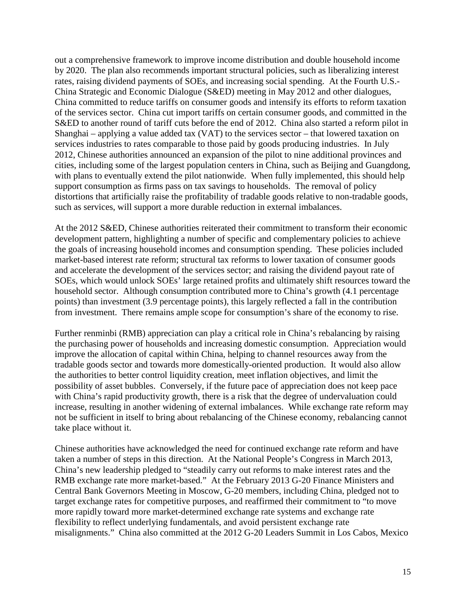out a comprehensive framework to improve income distribution and double household income by 2020. The plan also recommends important structural policies, such as liberalizing interest rates, raising dividend payments of SOEs, and increasing social spending. At the Fourth U.S.- China Strategic and Economic Dialogue (S&ED) meeting in May 2012 and other dialogues, China committed to reduce tariffs on consumer goods and intensify its efforts to reform taxation of the services sector. China cut import tariffs on certain consumer goods, and committed in the S&ED to another round of tariff cuts before the end of 2012. China also started a reform pilot in Shanghai – applying a value added tax (VAT) to the services sector – that lowered taxation on services industries to rates comparable to those paid by goods producing industries. In July 2012, Chinese authorities announced an expansion of the pilot to nine additional provinces and cities, including some of the largest population centers in China, such as Beijing and Guangdong, with plans to eventually extend the pilot nationwide. When fully implemented, this should help support consumption as firms pass on tax savings to households. The removal of policy distortions that artificially raise the profitability of tradable goods relative to non-tradable goods, such as services, will support a more durable reduction in external imbalances.

At the 2012 S&ED, Chinese authorities reiterated their commitment to transform their economic development pattern, highlighting a number of specific and complementary policies to achieve the goals of increasing household incomes and consumption spending. These policies included market-based interest rate reform; structural tax reforms to lower taxation of consumer goods and accelerate the development of the services sector; and raising the dividend payout rate of SOEs, which would unlock SOEs' large retained profits and ultimately shift resources toward the household sector. Although consumption contributed more to China's growth (4.1 percentage points) than investment (3.9 percentage points), this largely reflected a fall in the contribution from investment. There remains ample scope for consumption's share of the economy to rise.

Further renminbi (RMB) appreciation can play a critical role in China's rebalancing by raising the purchasing power of households and increasing domestic consumption. Appreciation would improve the allocation of capital within China, helping to channel resources away from the tradable goods sector and towards more domestically-oriented production. It would also allow the authorities to better control liquidity creation, meet inflation objectives, and limit the possibility of asset bubbles. Conversely, if the future pace of appreciation does not keep pace with China's rapid productivity growth, there is a risk that the degree of undervaluation could increase, resulting in another widening of external imbalances. While exchange rate reform may not be sufficient in itself to bring about rebalancing of the Chinese economy, rebalancing cannot take place without it.

Chinese authorities have acknowledged the need for continued exchange rate reform and have taken a number of steps in this direction. At the National People's Congress in March 2013, China's new leadership pledged to "steadily carry out reforms to make interest rates and the RMB exchange rate more market-based." At the February 2013 G-20 Finance Ministers and Central Bank Governors Meeting in Moscow, G-20 members, including China, pledged not to target exchange rates for competitive purposes, and reaffirmed their commitment to "to move more rapidly toward more market-determined exchange rate systems and exchange rate flexibility to reflect underlying fundamentals, and avoid persistent exchange rate misalignments." China also committed at the 2012 G-20 Leaders Summit in Los Cabos, Mexico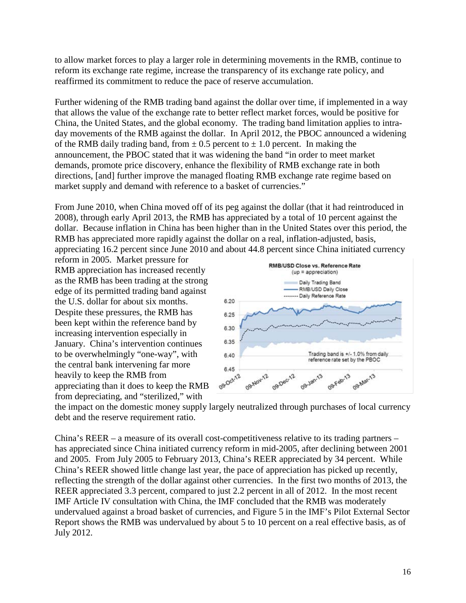to allow market forces to play a larger role in determining movements in the RMB, continue to reform its exchange rate regime, increase the transparency of its exchange rate policy, and reaffirmed its commitment to reduce the pace of reserve accumulation.

Further widening of the RMB trading band against the dollar over time, if implemented in a way that allows the value of the exchange rate to better reflect market forces, would be positive for China, the United States, and the global economy. The trading band limitation applies to intraday movements of the RMB against the dollar. In April 2012, the PBOC announced a widening of the RMB daily trading band, from  $\pm$  0.5 percent to  $\pm$  1.0 percent. In making the announcement, the PBOC stated that it was widening the band "in order to meet market demands, promote price discovery, enhance the flexibility of RMB exchange rate in both directions, [and] further improve the managed floating RMB exchange rate regime based on market supply and demand with reference to a basket of currencies."

From June 2010, when China moved off of its peg against the dollar (that it had reintroduced in 2008), through early April 2013, the RMB has appreciated by a total of 10 percent against the dollar. Because inflation in China has been higher than in the United States over this period, the RMB has appreciated more rapidly against the dollar on a real, inflation-adjusted, basis, appreciating 16.2 percent since June 2010 and about 44.8 percent since China initiated currency

reform in 2005. Market pressure for RMB appreciation has increased recently as the RMB has been trading at the strong edge of its permitted trading band against the U.S. dollar for about six months. Despite these pressures, the RMB has been kept within the reference band by increasing intervention especially in January. China's intervention continues to be overwhelmingly "one-way", with the central bank intervening far more heavily to keep the RMB from appreciating than it does to keep the RMB from depreciating, and "sterilized," with



the impact on the domestic money supply largely neutralized through purchases of local currency debt and the reserve requirement ratio.

China's REER – a measure of its overall cost-competitiveness relative to its trading partners – has appreciated since China initiated currency reform in mid-2005, after declining between 2001 and 2005. From July 2005 to February 2013, China's REER appreciated by 34 percent. While China's REER showed little change last year, the pace of appreciation has picked up recently, reflecting the strength of the dollar against other currencies. In the first two months of 2013, the REER appreciated 3.3 percent, compared to just 2.2 percent in all of 2012. In the most recent IMF Article IV consultation with China, the IMF concluded that the RMB was moderately undervalued against a broad basket of currencies, and Figure 5 in the IMF's Pilot External Sector Report shows the RMB was undervalued by about 5 to 10 percent on a real effective basis, as of July 2012.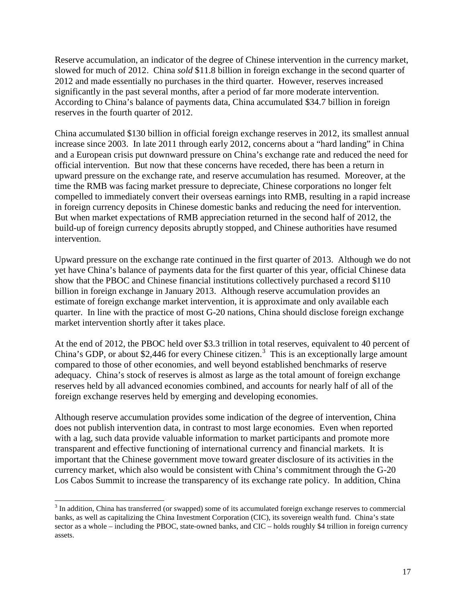Reserve accumulation, an indicator of the degree of Chinese intervention in the currency market, slowed for much of 2012. China *sold* \$11.8 billion in foreign exchange in the second quarter of 2012 and made essentially no purchases in the third quarter. However, reserves increased significantly in the past several months, after a period of far more moderate intervention. According to China's balance of payments data, China accumulated \$34.7 billion in foreign reserves in the fourth quarter of 2012.

China accumulated \$130 billion in official foreign exchange reserves in 2012, its smallest annual increase since 2003. In late 2011 through early 2012, concerns about a "hard landing" in China and a European crisis put downward pressure on China's exchange rate and reduced the need for official intervention. But now that these concerns have receded, there has been a return in upward pressure on the exchange rate, and reserve accumulation has resumed. Moreover, at the time the RMB was facing market pressure to depreciate, Chinese corporations no longer felt compelled to immediately convert their overseas earnings into RMB, resulting in a rapid increase in foreign currency deposits in Chinese domestic banks and reducing the need for intervention. But when market expectations of RMB appreciation returned in the second half of 2012, the build-up of foreign currency deposits abruptly stopped, and Chinese authorities have resumed intervention.

Upward pressure on the exchange rate continued in the first quarter of 2013. Although we do not yet have China's balance of payments data for the first quarter of this year, official Chinese data show that the PBOC and Chinese financial institutions collectively purchased a record \$110 billion in foreign exchange in January 2013. Although reserve accumulation provides an estimate of foreign exchange market intervention, it is approximate and only available each quarter. In line with the practice of most G-20 nations, China should disclose foreign exchange market intervention shortly after it takes place.

At the end of 2012, the PBOC held over \$3.3 trillion in total reserves, equivalent to 40 percent of China's GDP, or about \$2,446 for every Chinese citizen.<sup>[3](#page-11-0)</sup> This is an exceptionally large amount compared to those of other economies, and well beyond established benchmarks of reserve adequacy. China's stock of reserves is almost as large as the total amount of foreign exchange reserves held by all advanced economies combined, and accounts for nearly half of all of the foreign exchange reserves held by emerging and developing economies.

Although reserve accumulation provides some indication of the degree of intervention, China does not publish intervention data, in contrast to most large economies. Even when reported with a lag, such data provide valuable information to market participants and promote more transparent and effective functioning of international currency and financial markets. It is important that the Chinese government move toward greater disclosure of its activities in the currency market, which also would be consistent with China's commitment through the G-20 Los Cabos Summit to increase the transparency of its exchange rate policy. In addition, China

<span id="page-18-0"></span><sup>&</sup>lt;sup>3</sup> In addition, China has transferred (or swapped) some of its accumulated foreign exchange reserves to commercial banks, as well as capitalizing the China Investment Corporation (CIC), its sovereign wealth fund. China's state sector as a whole – including the PBOC, state-owned banks, and CIC – holds roughly \$4 trillion in foreign currency assets.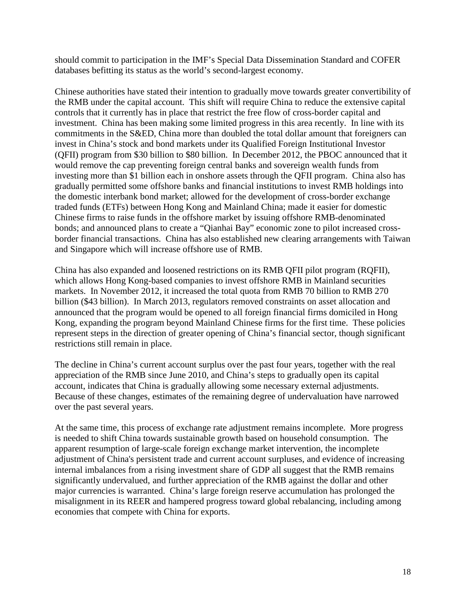should commit to participation in the IMF's Special Data Dissemination Standard and COFER databases befitting its status as the world's second-largest economy.

Chinese authorities have stated their intention to gradually move towards greater convertibility of the RMB under the capital account. This shift will require China to reduce the extensive capital controls that it currently has in place that restrict the free flow of cross-border capital and investment. China has been making some limited progress in this area recently. In line with its commitments in the S&ED, China more than doubled the total dollar amount that foreigners can invest in China's stock and bond markets under its Qualified Foreign Institutional Investor (QFII) program from \$30 billion to \$80 billion. In December 2012, the PBOC announced that it would remove the cap preventing foreign central banks and sovereign wealth funds from investing more than \$1 billion each in onshore assets through the QFII program. China also has gradually permitted some offshore banks and financial institutions to invest RMB holdings into the domestic interbank bond market; allowed for the development of cross-border exchange traded funds (ETFs) between Hong Kong and Mainland China; made it easier for domestic Chinese firms to raise funds in the offshore market by issuing offshore RMB-denominated bonds; and announced plans to create a "Qianhai Bay" economic zone to pilot increased crossborder financial transactions. China has also established new clearing arrangements with Taiwan and Singapore which will increase offshore use of RMB.

China has also expanded and loosened restrictions on its RMB QFII pilot program (RQFII), which allows Hong Kong-based companies to invest offshore RMB in Mainland securities markets. In November 2012, it increased the total quota from RMB 70 billion to RMB 270 billion (\$43 billion). In March 2013, regulators removed constraints on asset allocation and announced that the program would be opened to all foreign financial firms domiciled in Hong Kong, expanding the program beyond Mainland Chinese firms for the first time. These policies represent steps in the direction of greater opening of China's financial sector, though significant restrictions still remain in place.

The decline in China's current account surplus over the past four years, together with the real appreciation of the RMB since June 2010, and China's steps to gradually open its capital account, indicates that China is gradually allowing some necessary external adjustments. Because of these changes, estimates of the remaining degree of undervaluation have narrowed over the past several years.

At the same time, this process of exchange rate adjustment remains incomplete. More progress is needed to shift China towards sustainable growth based on household consumption. The apparent resumption of large-scale foreign exchange market intervention, the incomplete adjustment of China's persistent trade and current account surpluses, and evidence of increasing internal imbalances from a rising investment share of GDP all suggest that the RMB remains significantly undervalued, and further appreciation of the RMB against the dollar and other major currencies is warranted. China's large foreign reserve accumulation has prolonged the misalignment in its REER and hampered progress toward global rebalancing, including among economies that compete with China for exports.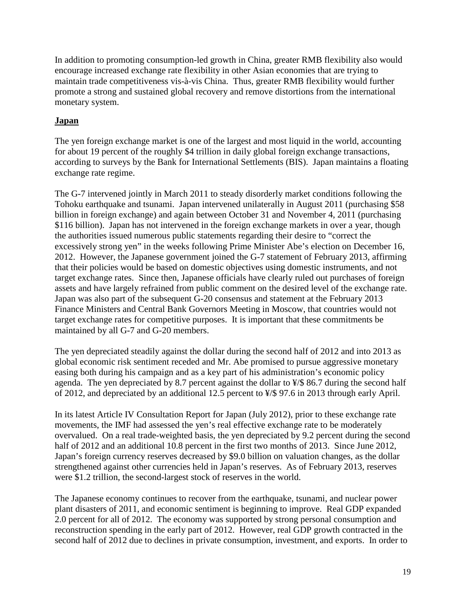In addition to promoting consumption-led growth in China, greater RMB flexibility also would encourage increased exchange rate flexibility in other Asian economies that are trying to maintain trade competitiveness vis-à-vis China. Thus, greater RMB flexibility would further promote a strong and sustained global recovery and remove distortions from the international monetary system.

# <span id="page-20-0"></span>**Japan**

The yen foreign exchange market is one of the largest and most liquid in the world, accounting for about 19 percent of the roughly \$4 trillion in daily global foreign exchange transactions, according to surveys by the Bank for International Settlements (BIS). Japan maintains a floating exchange rate regime.

The G-7 intervened jointly in March 2011 to steady disorderly market conditions following the Tohoku earthquake and tsunami. Japan intervened unilaterally in August 2011 (purchasing \$58 billion in foreign exchange) and again between October 31 and November 4, 2011 (purchasing \$116 billion). Japan has not intervened in the foreign exchange markets in over a year, though the authorities issued numerous public statements regarding their desire to "correct the excessively strong yen" in the weeks following Prime Minister Abe's election on December 16, 2012. However, the Japanese government joined the G-7 statement of February 2013, affirming that their policies would be based on domestic objectives using domestic instruments, and not target exchange rates. Since then, Japanese officials have clearly ruled out purchases of foreign assets and have largely refrained from public comment on the desired level of the exchange rate. Japan was also part of the subsequent G-20 consensus and statement at the February 2013 Finance Ministers and Central Bank Governors Meeting in Moscow, that countries would not target exchange rates for competitive purposes. It is important that these commitments be maintained by all G-7 and G-20 members.

The yen depreciated steadily against the dollar during the second half of 2012 and into 2013 as global economic risk sentiment receded and Mr. Abe promised to pursue aggressive monetary easing both during his campaign and as a key part of his administration's economic policy agenda. The yen depreciated by 8.7 percent against the dollar to ¥/\$ 86.7 during the second half of 2012, and depreciated by an additional 12.5 percent to ¥/\$ 97.6 in 2013 through early April.

In its latest Article IV Consultation Report for Japan (July 2012), prior to these exchange rate movements, the IMF had assessed the yen's real effective exchange rate to be moderately overvalued. On a real trade-weighted basis, the yen depreciated by 9.2 percent during the second half of 2012 and an additional 10.8 percent in the first two months of 2013. Since June 2012, Japan's foreign currency reserves decreased by \$9.0 billion on valuation changes, as the dollar strengthened against other currencies held in Japan's reserves. As of February 2013, reserves were \$1.2 trillion, the second-largest stock of reserves in the world.

The Japanese economy continues to recover from the earthquake, tsunami, and nuclear power plant disasters of 2011, and economic sentiment is beginning to improve. Real GDP expanded 2.0 percent for all of 2012. The economy was supported by strong personal consumption and reconstruction spending in the early part of 2012. However, real GDP growth contracted in the second half of 2012 due to declines in private consumption, investment, and exports. In order to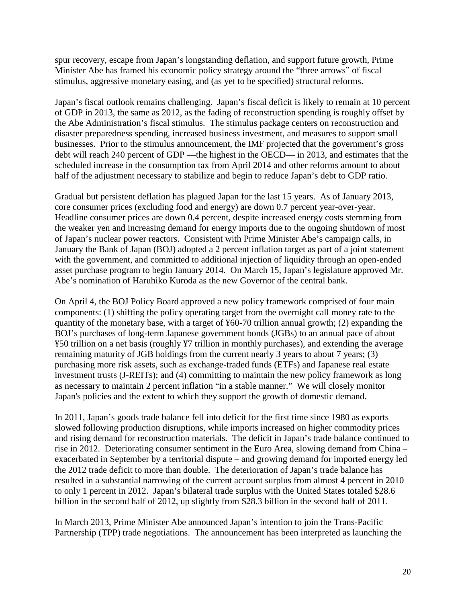spur recovery, escape from Japan's longstanding deflation, and support future growth, Prime Minister Abe has framed his economic policy strategy around the "three arrows" of fiscal stimulus, aggressive monetary easing, and (as yet to be specified) structural reforms.

Japan's fiscal outlook remains challenging. Japan's fiscal deficit is likely to remain at 10 percent of GDP in 2013, the same as 2012, as the fading of reconstruction spending is roughly offset by the Abe Administration's fiscal stimulus. The stimulus package centers on reconstruction and disaster preparedness spending, increased business investment, and measures to support small businesses. Prior to the stimulus announcement, the IMF projected that the government's gross debt will reach 240 percent of GDP —the highest in the OECD— in 2013, and estimates that the scheduled increase in the consumption tax from April 2014 and other reforms amount to about half of the adjustment necessary to stabilize and begin to reduce Japan's debt to GDP ratio.

Gradual but persistent deflation has plagued Japan for the last 15 years. As of January 2013, core consumer prices (excluding food and energy) are down 0.7 percent year-over-year. Headline consumer prices are down 0.4 percent, despite increased energy costs stemming from the weaker yen and increasing demand for energy imports due to the ongoing shutdown of most of Japan's nuclear power reactors. Consistent with Prime Minister Abe's campaign calls, in January the Bank of Japan (BOJ) adopted a 2 percent inflation target as part of a joint statement with the government, and committed to additional injection of liquidity through an open-ended asset purchase program to begin January 2014. On March 15, Japan's legislature approved Mr. Abe's nomination of Haruhiko Kuroda as the new Governor of the central bank.

On April 4, the BOJ Policy Board approved a new policy framework comprised of four main components: (1) shifting the policy operating target from the overnight call money rate to the quantity of the monetary base, with a target of ¥60-70 trillion annual growth; (2) expanding the BOJ's purchases of long-term Japanese government bonds (JGBs) to an annual pace of about ¥50 trillion on a net basis (roughly ¥7 trillion in monthly purchases), and extending the average remaining maturity of JGB holdings from the current nearly 3 years to about 7 years; (3) purchasing more risk assets, such as exchange-traded funds (ETFs) and Japanese real estate investment trusts (J-REITs); and (4) committing to maintain the new policy framework as long as necessary to maintain 2 percent inflation "in a stable manner." We will closely monitor Japan's policies and the extent to which they support the growth of domestic demand.

In 2011, Japan's goods trade balance fell into deficit for the first time since 1980 as exports slowed following production disruptions, while imports increased on higher commodity prices and rising demand for reconstruction materials. The deficit in Japan's trade balance continued to rise in 2012. Deteriorating consumer sentiment in the Euro Area, slowing demand from China – exacerbated in September by a territorial dispute – and growing demand for imported energy led the 2012 trade deficit to more than double. The deterioration of Japan's trade balance has resulted in a substantial narrowing of the current account surplus from almost 4 percent in 2010 to only 1 percent in 2012. Japan's bilateral trade surplus with the United States totaled \$28.6 billion in the second half of 2012, up slightly from \$28.3 billion in the second half of 2011.

In March 2013, Prime Minister Abe announced Japan's intention to join the Trans-Pacific Partnership (TPP) trade negotiations. The announcement has been interpreted as launching the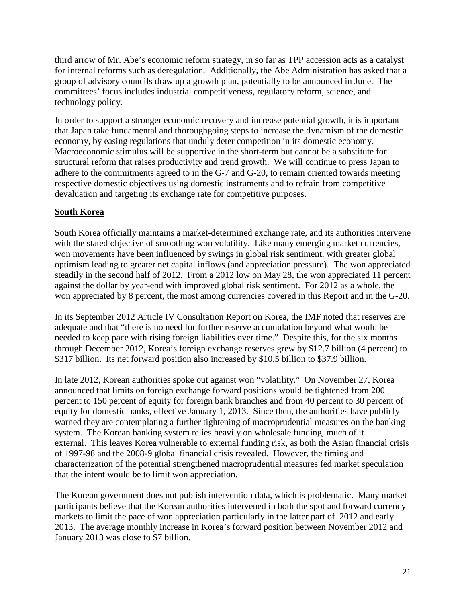third arrow of Mr. Abe's economic reform strategy, in so far as TPP accession acts as a catalyst for internal reforms such as deregulation. Additionally, the Abe Administration has asked that a group of advisory councils draw up a growth plan, potentially to be announced in June. The committees' focus includes industrial competitiveness, regulatory reform, science, and technology policy.

In order to support a stronger economic recovery and increase potential growth, it is important that Japan take fundamental and thoroughgoing steps to increase the dynamism of the domestic economy, by easing regulations that unduly deter competition in its domestic economy. Macroeconomic stimulus will be supportive in the short-term but cannot be a substitute for structural reform that raises productivity and trend growth. We will continue to press Japan to adhere to the commitments agreed to in the G-7 and G-20, to remain oriented towards meeting respective domestic objectives using domestic instruments and to refrain from competitive devaluation and targeting its exchange rate for competitive purposes.

#### <span id="page-22-0"></span>**South Korea**

South Korea officially maintains a market-determined exchange rate, and its authorities intervene with the stated objective of smoothing won volatility. Like many emerging market currencies, won movements have been influenced by swings in global risk sentiment, with greater global optimism leading to greater net capital inflows (and appreciation pressure). The won appreciated steadily in the second half of 2012. From a 2012 low on May 28, the won appreciated 11 percent against the dollar by year-end with improved global risk sentiment. For 2012 as a whole, the won appreciated by 8 percent, the most among currencies covered in this Report and in the G-20.

In its September 2012 Article IV Consultation Report on Korea, the IMF noted that reserves are adequate and that "there is no need for further reserve accumulation beyond what would be needed to keep pace with rising foreign liabilities over time." Despite this, for the six months through December 2012, Korea's foreign exchange reserves grew by \$12.7 billion (4 percent) to \$317 billion. Its net forward position also increased by \$10.5 billion to \$37.9 billion.

In late 2012, Korean authorities spoke out against won "volatility." On November 27, Korea announced that limits on foreign exchange forward positions would be tightened from 200 percent to 150 percent of equity for foreign bank branches and from 40 percent to 30 percent of equity for domestic banks, effective January 1, 2013. Since then, the authorities have publicly warned they are contemplating a further tightening of macroprudential measures on the banking system. The Korean banking system relies heavily on wholesale funding, much of it external. This leaves Korea vulnerable to external funding risk, as both the Asian financial crisis of 1997-98 and the 2008-9 global financial crisis revealed. However, the timing and characterization of the potential strengthened macroprudential measures fed market speculation that the intent would be to limit won appreciation.

The Korean government does not publish intervention data, which is problematic. Many market participants believe that the Korean authorities intervened in both the spot and forward currency markets to limit the pace of won appreciation particularly in the latter part of 2012 and early 2013. The average monthly increase in Korea's forward position between November 2012 and January 2013 was close to \$7 billion.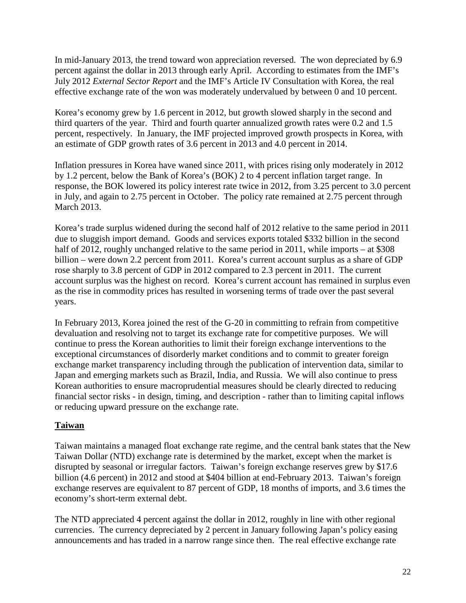In mid-January 2013, the trend toward won appreciation reversed. The won depreciated by 6.9 percent against the dollar in 2013 through early April. According to estimates from the IMF's July 2012 *External Sector Report* and the IMF's Article IV Consultation with Korea, the real effective exchange rate of the won was moderately undervalued by between 0 and 10 percent.

Korea's economy grew by 1.6 percent in 2012, but growth slowed sharply in the second and third quarters of the year. Third and fourth quarter annualized growth rates were 0.2 and 1.5 percent, respectively. In January, the IMF projected improved growth prospects in Korea, with an estimate of GDP growth rates of 3.6 percent in 2013 and 4.0 percent in 2014.

Inflation pressures in Korea have waned since 2011, with prices rising only moderately in 2012 by 1.2 percent, below the Bank of Korea's (BOK) 2 to 4 percent inflation target range. In response, the BOK lowered its policy interest rate twice in 2012, from 3.25 percent to 3.0 percent in July, and again to 2.75 percent in October. The policy rate remained at 2.75 percent through March 2013.

Korea's trade surplus widened during the second half of 2012 relative to the same period in 2011 due to sluggish import demand. Goods and services exports totaled \$332 billion in the second half of 2012, roughly unchanged relative to the same period in 2011, while imports – at \$308 billion – were down 2.2 percent from 2011. Korea's current account surplus as a share of GDP rose sharply to 3.8 percent of GDP in 2012 compared to 2.3 percent in 2011. The current account surplus was the highest on record. Korea's current account has remained in surplus even as the rise in commodity prices has resulted in worsening terms of trade over the past several years.

In February 2013, Korea joined the rest of the G-20 in committing to refrain from competitive devaluation and resolving not to target its exchange rate for competitive purposes. We will continue to press the Korean authorities to limit their foreign exchange interventions to the exceptional circumstances of disorderly market conditions and to commit to greater foreign exchange market transparency including through the publication of intervention data, similar to Japan and emerging markets such as Brazil, India, and Russia. We will also continue to press Korean authorities to ensure macroprudential measures should be clearly directed to reducing financial sector risks - in design, timing, and description - rather than to limiting capital inflows or reducing upward pressure on the exchange rate.

# <span id="page-23-0"></span>**Taiwan**

Taiwan maintains a managed float exchange rate regime, and the central bank states that the New Taiwan Dollar (NTD) exchange rate is determined by the market, except when the market is disrupted by seasonal or irregular factors. Taiwan's foreign exchange reserves grew by \$17.6 billion (4.6 percent) in 2012 and stood at \$404 billion at end-February 2013. Taiwan's foreign exchange reserves are equivalent to 87 percent of GDP, 18 months of imports, and 3.6 times the economy's short-term external debt.

The NTD appreciated 4 percent against the dollar in 2012, roughly in line with other regional currencies. The currency depreciated by 2 percent in January following Japan's policy easing announcements and has traded in a narrow range since then. The real effective exchange rate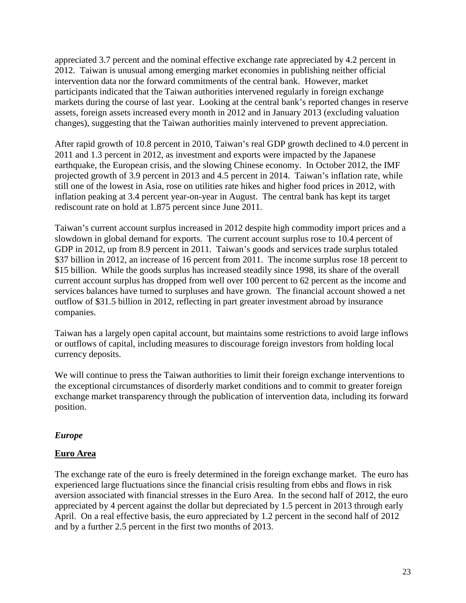appreciated 3.7 percent and the nominal effective exchange rate appreciated by 4.2 percent in 2012. Taiwan is unusual among emerging market economies in publishing neither official intervention data nor the forward commitments of the central bank. However, market participants indicated that the Taiwan authorities intervened regularly in foreign exchange markets during the course of last year. Looking at the central bank's reported changes in reserve assets, foreign assets increased every month in 2012 and in January 2013 (excluding valuation changes), suggesting that the Taiwan authorities mainly intervened to prevent appreciation.

After rapid growth of 10.8 percent in 2010, Taiwan's real GDP growth declined to 4.0 percent in 2011 and 1.3 percent in 2012, as investment and exports were impacted by the Japanese earthquake, the European crisis, and the slowing Chinese economy. In October 2012, the IMF projected growth of 3.9 percent in 2013 and 4.5 percent in 2014. Taiwan's inflation rate, while still one of the lowest in Asia, rose on utilities rate hikes and higher food prices in 2012, with inflation peaking at 3.4 percent year-on-year in August. The central bank has kept its target rediscount rate on hold at 1.875 percent since June 2011.

Taiwan's current account surplus increased in 2012 despite high commodity import prices and a slowdown in global demand for exports. The current account surplus rose to 10.4 percent of GDP in 2012, up from 8.9 percent in 2011. Taiwan's goods and services trade surplus totaled \$37 billion in 2012, an increase of 16 percent from 2011. The income surplus rose 18 percent to \$15 billion. While the goods surplus has increased steadily since 1998, its share of the overall current account surplus has dropped from well over 100 percent to 62 percent as the income and services balances have turned to surpluses and have grown. The financial account showed a net outflow of \$31.5 billion in 2012, reflecting in part greater investment abroad by insurance companies.

Taiwan has a largely open capital account, but maintains some restrictions to avoid large inflows or outflows of capital, including measures to discourage foreign investors from holding local currency deposits.

We will continue to press the Taiwan authorities to limit their foreign exchange interventions to the exceptional circumstances of disorderly market conditions and to commit to greater foreign exchange market transparency through the publication of intervention data, including its forward position.

#### <span id="page-24-0"></span>*Europe*

#### <span id="page-24-1"></span>**Euro Area**

The exchange rate of the euro is freely determined in the foreign exchange market. The euro has experienced large fluctuations since the financial crisis resulting from ebbs and flows in risk aversion associated with financial stresses in the Euro Area. In the second half of 2012, the euro appreciated by 4 percent against the dollar but depreciated by 1.5 percent in 2013 through early April. On a real effective basis, the euro appreciated by 1.2 percent in the second half of 2012 and by a further 2.5 percent in the first two months of 2013.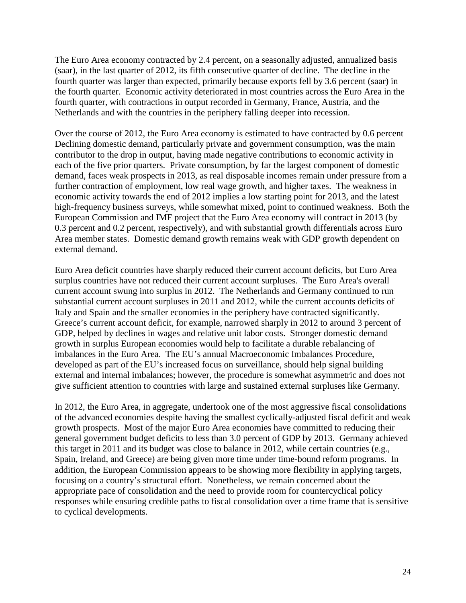The Euro Area economy contracted by 2.4 percent, on a seasonally adjusted, annualized basis (saar), in the last quarter of 2012, its fifth consecutive quarter of decline. The decline in the fourth quarter was larger than expected, primarily because exports fell by 3.6 percent (saar) in the fourth quarter. Economic activity deteriorated in most countries across the Euro Area in the fourth quarter, with contractions in output recorded in Germany, France, Austria, and the Netherlands and with the countries in the periphery falling deeper into recession.

Over the course of 2012, the Euro Area economy is estimated to have contracted by 0.6 percent Declining domestic demand, particularly private and government consumption, was the main contributor to the drop in output, having made negative contributions to economic activity in each of the five prior quarters. Private consumption, by far the largest component of domestic demand, faces weak prospects in 2013, as real disposable incomes remain under pressure from a further contraction of employment, low real wage growth, and higher taxes. The weakness in economic activity towards the end of 2012 implies a low starting point for 2013, and the latest high-frequency business surveys, while somewhat mixed, point to continued weakness. Both the European Commission and IMF project that the Euro Area economy will contract in 2013 (by 0.3 percent and 0.2 percent, respectively), and with substantial growth differentials across Euro Area member states. Domestic demand growth remains weak with GDP growth dependent on external demand.

Euro Area deficit countries have sharply reduced their current account deficits, but Euro Area surplus countries have not reduced their current account surpluses. The Euro Area's overall current account swung into surplus in 2012. The Netherlands and Germany continued to run substantial current account surpluses in 2011 and 2012, while the current accounts deficits of Italy and Spain and the smaller economies in the periphery have contracted significantly. Greece's current account deficit, for example, narrowed sharply in 2012 to around 3 percent of GDP, helped by declines in wages and relative unit labor costs. Stronger domestic demand growth in surplus European economies would help to facilitate a durable rebalancing of imbalances in the Euro Area. The EU's annual Macroeconomic Imbalances Procedure, developed as part of the EU's increased focus on surveillance, should help signal building external and internal imbalances; however, the procedure is somewhat asymmetric and does not give sufficient attention to countries with large and sustained external surpluses like Germany.

In 2012, the Euro Area, in aggregate, undertook one of the most aggressive fiscal consolidations of the advanced economies despite having the smallest cyclically-adjusted fiscal deficit and weak growth prospects. Most of the major Euro Area economies have committed to reducing their general government budget deficits to less than 3.0 percent of GDP by 2013. Germany achieved this target in 2011 and its budget was close to balance in 2012, while certain countries (e.g., Spain, Ireland, and Greece) are being given more time under time-bound reform programs. In addition, the European Commission appears to be showing more flexibility in applying targets, focusing on a country's structural effort. Nonetheless, we remain concerned about the appropriate pace of consolidation and the need to provide room for countercyclical policy responses while ensuring credible paths to fiscal consolidation over a time frame that is sensitive to cyclical developments.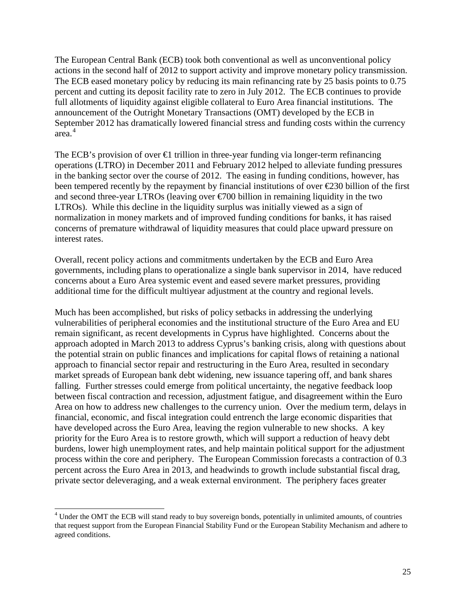The European Central Bank (ECB) took both conventional as well as unconventional policy actions in the second half of 2012 to support activity and improve monetary policy transmission. The ECB eased monetary policy by reducing its main refinancing rate by 25 basis points to 0.75 percent and cutting its deposit facility rate to zero in July 2012. The ECB continues to provide full allotments of liquidity against eligible collateral to Euro Area financial institutions. The announcement of the Outright Monetary Transactions (OMT) developed by the ECB in September 2012 has dramatically lowered financial stress and funding costs within the currency area. [4](#page-18-0)

The ECB's provision of over  $\bigoplus$  trillion in three-year funding via longer-term refinancing operations (LTRO) in December 2011 and February 2012 helped to alleviate funding pressures in the banking sector over the course of 2012. The easing in funding conditions, however, has been tempered recently by the repayment by financial institutions of over  $\epsilon$ 230 billion of the first and second three-year LTROs (leaving over  $\epsilon$ 700 billion in remaining liquidity in the two LTROs). While this decline in the liquidity surplus was initially viewed as a sign of normalization in money markets and of improved funding conditions for banks, it has raised concerns of premature withdrawal of liquidity measures that could place upward pressure on interest rates.

Overall, recent policy actions and commitments undertaken by the ECB and Euro Area governments, including plans to operationalize a single bank supervisor in 2014, have reduced concerns about a Euro Area systemic event and eased severe market pressures, providing additional time for the difficult multiyear adjustment at the country and regional levels.

Much has been accomplished, but risks of policy setbacks in addressing the underlying vulnerabilities of peripheral economies and the institutional structure of the Euro Area and EU remain significant, as recent developments in Cyprus have highlighted. Concerns about the approach adopted in March 2013 to address Cyprus's banking crisis, along with questions about the potential strain on public finances and implications for capital flows of retaining a national approach to financial sector repair and restructuring in the Euro Area, resulted in secondary market spreads of European bank debt widening, new issuance tapering off, and bank shares falling. Further stresses could emerge from political uncertainty, the negative feedback loop between fiscal contraction and recession, adjustment fatigue, and disagreement within the Euro Area on how to address new challenges to the currency union. Over the medium term, delays in financial, economic, and fiscal integration could entrench the large economic disparities that have developed across the Euro Area, leaving the region vulnerable to new shocks. A key priority for the Euro Area is to restore growth, which will support a reduction of heavy debt burdens, lower high unemployment rates, and help maintain political support for the adjustment process within the core and periphery. The European Commission forecasts a contraction of 0.3 percent across the Euro Area in 2013, and headwinds to growth include substantial fiscal drag, private sector deleveraging, and a weak external environment. The periphery faces greater

 <sup>4</sup> Under the OMT the ECB will stand ready to buy sovereign bonds, potentially in unlimited amounts, of countries that request support from the European Financial Stability Fund or the European Stability Mechanism and adhere to agreed conditions.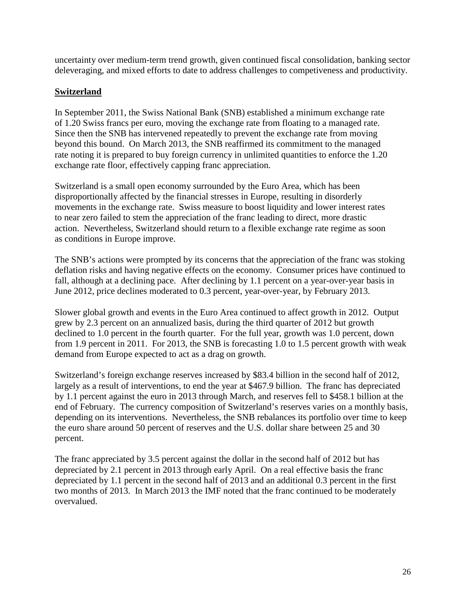uncertainty over medium-term trend growth, given continued fiscal consolidation, banking sector deleveraging, and mixed efforts to date to address challenges to competiveness and productivity.

# <span id="page-27-0"></span>**Switzerland**

In September 2011, the Swiss National Bank (SNB) established a minimum exchange rate of 1.20 Swiss francs per euro, moving the exchange rate from floating to a managed rate. Since then the SNB has intervened repeatedly to prevent the exchange rate from moving beyond this bound. On March 2013, the SNB reaffirmed its commitment to the managed rate noting it is prepared to buy foreign currency in unlimited quantities to enforce the 1.20 exchange rate floor, effectively capping franc appreciation.

Switzerland is a small open economy surrounded by the Euro Area, which has been disproportionally affected by the financial stresses in Europe, resulting in disorderly movements in the exchange rate. Swiss measure to boost liquidity and lower interest rates to near zero failed to stem the appreciation of the franc leading to direct, more drastic action. Nevertheless, Switzerland should return to a flexible exchange rate regime as soon as conditions in Europe improve.

The SNB's actions were prompted by its concerns that the appreciation of the franc was stoking deflation risks and having negative effects on the economy. Consumer prices have continued to fall, although at a declining pace. After declining by 1.1 percent on a year-over-year basis in June 2012, price declines moderated to 0.3 percent, year-over-year, by February 2013.

Slower global growth and events in the Euro Area continued to affect growth in 2012. Output grew by 2.3 percent on an annualized basis, during the third quarter of 2012 but growth declined to 1.0 percent in the fourth quarter. For the full year, growth was 1.0 percent, down from 1.9 percent in 2011. For 2013, the SNB is forecasting 1.0 to 1.5 percent growth with weak demand from Europe expected to act as a drag on growth.

Switzerland's foreign exchange reserves increased by \$83.4 billion in the second half of 2012, largely as a result of interventions, to end the year at \$467.9 billion. The franc has depreciated by 1.1 percent against the euro in 2013 through March, and reserves fell to \$458.1 billion at the end of February. The currency composition of Switzerland's reserves varies on a monthly basis, depending on its interventions. Nevertheless, the SNB rebalances its portfolio over time to keep the euro share around 50 percent of reserves and the U.S. dollar share between 25 and 30 percent.

The franc appreciated by 3.5 percent against the dollar in the second half of 2012 but has depreciated by 2.1 percent in 2013 through early April. On a real effective basis the franc depreciated by 1.1 percent in the second half of 2013 and an additional 0.3 percent in the first two months of 2013. In March 2013 the IMF noted that the franc continued to be moderately overvalued.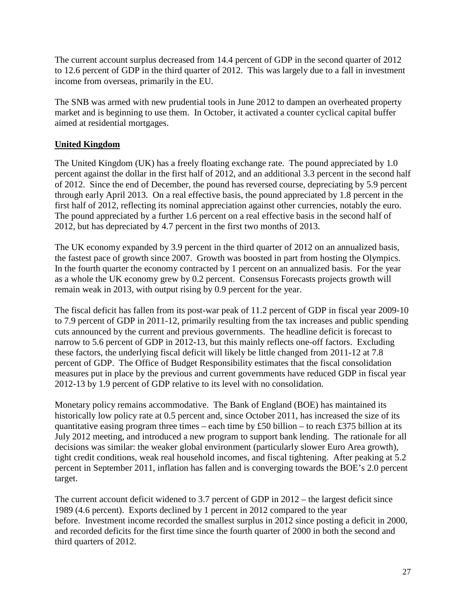The current account surplus decreased from 14.4 percent of GDP in the second quarter of 2012 to 12.6 percent of GDP in the third quarter of 2012. This was largely due to a fall in investment income from overseas, primarily in the EU.

The SNB was armed with new prudential tools in June 2012 to dampen an overheated property market and is beginning to use them. In October, it activated a counter cyclical capital buffer aimed at residential mortgages.

#### <span id="page-28-0"></span>**United Kingdom**

The United Kingdom (UK) has a freely floating exchange rate. The pound appreciated by 1.0 percent against the dollar in the first half of 2012, and an additional 3.3 percent in the second half of 2012. Since the end of December, the pound has reversed course, depreciating by 5.9 percent through early April 2013. On a real effective basis, the pound appreciated by 1.8 percent in the first half of 2012, reflecting its nominal appreciation against other currencies, notably the euro. The pound appreciated by a further 1.6 percent on a real effective basis in the second half of 2012, but has depreciated by 4.7 percent in the first two months of 2013.

The UK economy expanded by 3.9 percent in the third quarter of 2012 on an annualized basis, the fastest pace of growth since 2007. Growth was boosted in part from hosting the Olympics. In the fourth quarter the economy contracted by 1 percent on an annualized basis. For the year as a whole the UK economy grew by 0.2 percent. Consensus Forecasts projects growth will remain weak in 2013, with output rising by 0.9 percent for the year.

The fiscal deficit has fallen from its post-war peak of 11.2 percent of GDP in fiscal year 2009-10 to 7.9 percent of GDP in 2011-12, primarily resulting from the tax increases and public spending cuts announced by the current and previous governments. The headline deficit is forecast to narrow to 5.6 percent of GDP in 2012-13, but this mainly reflects one-off factors. Excluding these factors, the underlying fiscal deficit will likely be little changed from 2011-12 at 7.8 percent of GDP. The Office of Budget Responsibility estimates that the fiscal consolidation measures put in place by the previous and current governments have reduced GDP in fiscal year 2012-13 by 1.9 percent of GDP relative to its level with no consolidation.

Monetary policy remains accommodative. The Bank of England (BOE) has maintained its historically low policy rate at 0.5 percent and, since October 2011, has increased the size of its quantitative easing program three times – each time by £50 billion – to reach £375 billion at its July 2012 meeting, and introduced a new program to support bank lending. The rationale for all decisions was similar: the weaker global environment (particularly slower Euro Area growth), tight credit conditions, weak real household incomes, and fiscal tightening. After peaking at 5.2 percent in September 2011, inflation has fallen and is converging towards the BOE's 2.0 percent target.

The current account deficit widened to 3.7 percent of GDP in 2012 – the largest deficit since 1989 (4.6 percent). Exports declined by 1 percent in 2012 compared to the year before. Investment income recorded the smallest surplus in 2012 since posting a deficit in 2000, and recorded deficits for the first time since the fourth quarter of 2000 in both the second and third quarters of 2012.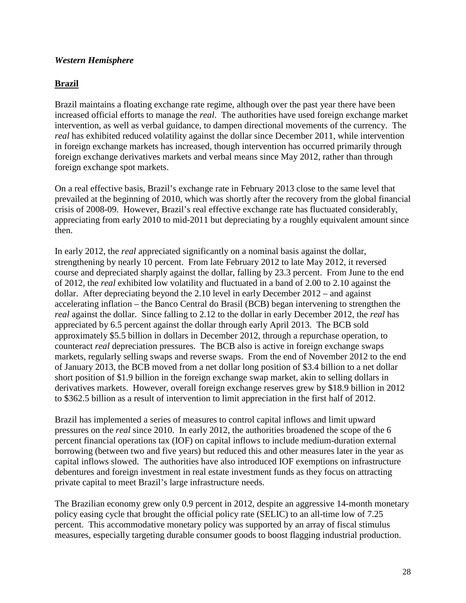#### <span id="page-29-0"></span>*Western Hemisphere*

#### <span id="page-29-1"></span>**Brazil**

Brazil maintains a floating exchange rate regime, although over the past year there have been increased official efforts to manage the *real*. The authorities have used foreign exchange market intervention, as well as verbal guidance, to dampen directional movements of the currency.The *real* has exhibited reduced volatility against the dollar since December 2011, while intervention in foreign exchange markets has increased, though intervention has occurred primarily through foreign exchange derivatives markets and verbal means since May 2012, rather than through foreign exchange spot markets.

On a real effective basis, Brazil's exchange rate in February 2013 close to the same level that prevailed at the beginning of 2010, which was shortly after the recovery from the global financial crisis of 2008-09. However, Brazil's real effective exchange rate has fluctuated considerably, appreciating from early 2010 to mid-2011 but depreciating by a roughly equivalent amount since then.

In early 2012, the *real* appreciated significantly on a nominal basis against the dollar, strengthening by nearly 10 percent. From late February 2012 to late May 2012, it reversed course and depreciated sharply against the dollar, falling by 23.3 percent. From June to the end of 2012, the *real* exhibited low volatility and fluctuated in a band of 2.00 to 2.10 against the dollar. After depreciating beyond the 2.10 level in early December 2012 – and against accelerating inflation – the Banco Central do Brasil (BCB) began intervening to strengthen the *real* against the dollar. Since falling to 2.12 to the dollar in early December 2012, the *real* has appreciated by 6.5 percent against the dollar through early April 2013. The BCB sold approximately \$5.5 billion in dollars in December 2012, through a repurchase operation, to counteract *real* depreciation pressures. The BCB also is active in foreign exchange swaps markets, regularly selling swaps and reverse swaps. From the end of November 2012 to the end of January 2013, the BCB moved from a net dollar long position of \$3.4 billion to a net dollar short position of \$1.9 billion in the foreign exchange swap market, akin to selling dollars in derivatives markets. However, overall foreign exchange reserves grew by \$18.9 billion in 2012 to \$362.5 billion as a result of intervention to limit appreciation in the first half of 2012.

Brazil has implemented a series of measures to control capital inflows and limit upward pressures on the *real* since 2010. In early 2012, the authorities broadened the scope of the 6 percent financial operations tax (IOF) on capital inflows to include medium-duration external borrowing (between two and five years) but reduced this and other measures later in the year as capital inflows slowed. The authorities have also introduced IOF exemptions on infrastructure debentures and foreign investment in real estate investment funds as they focus on attracting private capital to meet Brazil's large infrastructure needs.

The Brazilian economy grew only 0.9 percent in 2012, despite an aggressive 14-month monetary policy easing cycle that brought the official policy rate (SELIC) to an all-time low of 7.25 percent. This accommodative monetary policy was supported by an array of fiscal stimulus measures, especially targeting durable consumer goods to boost flagging industrial production.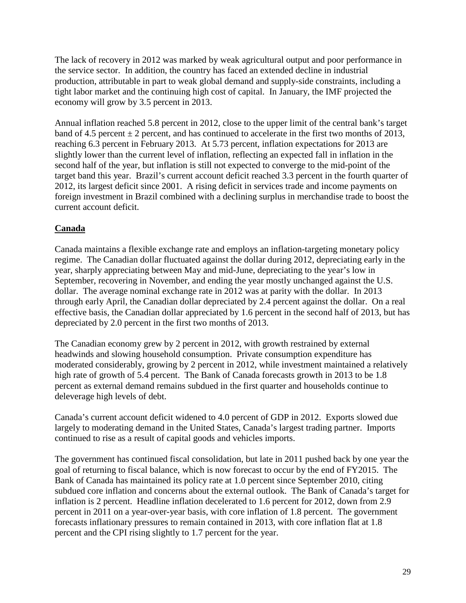The lack of recovery in 2012 was marked by weak agricultural output and poor performance in the service sector. In addition, the country has faced an extended decline in industrial production, attributable in part to weak global demand and supply-side constraints, including a tight labor market and the continuing high cost of capital. In January, the IMF projected the economy will grow by 3.5 percent in 2013.

Annual inflation reached 5.8 percent in 2012, close to the upper limit of the central bank's target band of 4.5 percent  $\pm 2$  percent, and has continued to accelerate in the first two months of 2013, reaching 6.3 percent in February 2013. At 5.73 percent, inflation expectations for 2013 are slightly lower than the current level of inflation, reflecting an expected fall in inflation in the second half of the year, but inflation is still not expected to converge to the mid-point of the target band this year. Brazil's current account deficit reached 3.3 percent in the fourth quarter of 2012, its largest deficit since 2001. A rising deficit in services trade and income payments on foreign investment in Brazil combined with a declining surplus in merchandise trade to boost the current account deficit.

# <span id="page-30-0"></span>**Canada**

Canada maintains a flexible exchange rate and employs an inflation-targeting monetary policy regime. The Canadian dollar fluctuated against the dollar during 2012, depreciating early in the year, sharply appreciating between May and mid-June, depreciating to the year's low in September, recovering in November, and ending the year mostly unchanged against the U.S. dollar. The average nominal exchange rate in 2012 was at parity with the dollar. In 2013 through early April, the Canadian dollar depreciated by 2.4 percent against the dollar. On a real effective basis, the Canadian dollar appreciated by 1.6 percent in the second half of 2013, but has depreciated by 2.0 percent in the first two months of 2013.

The Canadian economy grew by 2 percent in 2012, with growth restrained by external headwinds and slowing household consumption. Private consumption expenditure has moderated considerably, growing by 2 percent in 2012, while investment maintained a relatively high rate of growth of 5.4 percent. The Bank of Canada forecasts growth in 2013 to be 1.8 percent as external demand remains subdued in the first quarter and households continue to deleverage high levels of debt.

Canada's current account deficit widened to 4.0 percent of GDP in 2012. Exports slowed due largely to moderating demand in the United States, Canada's largest trading partner. Imports continued to rise as a result of capital goods and vehicles imports.

The government has continued fiscal consolidation, but late in 2011 pushed back by one year the goal of returning to fiscal balance, which is now forecast to occur by the end of FY2015. The Bank of Canada has maintained its policy rate at 1.0 percent since September 2010, citing subdued core inflation and concerns about the external outlook. The Bank of Canada's target for inflation is 2 percent. Headline inflation decelerated to 1.6 percent for 2012, down from 2.9 percent in 2011 on a year-over-year basis, with core inflation of 1.8 percent. The government forecasts inflationary pressures to remain contained in 2013, with core inflation flat at 1.8 percent and the CPI rising slightly to 1.7 percent for the year.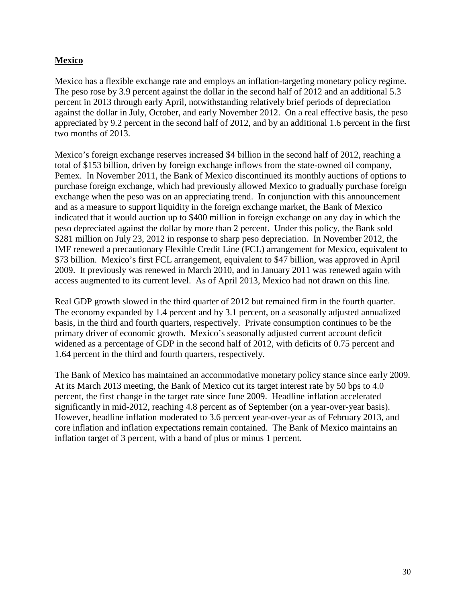#### <span id="page-31-0"></span>**Mexico**

Mexico has a flexible exchange rate and employs an inflation-targeting monetary policy regime. The peso rose by 3.9 percent against the dollar in the second half of 2012 and an additional 5.3 percent in 2013 through early April, notwithstanding relatively brief periods of depreciation against the dollar in July, October, and early November 2012. On a real effective basis, the peso appreciated by 9.2 percent in the second half of 2012, and by an additional 1.6 percent in the first two months of 2013.

Mexico's foreign exchange reserves increased \$4 billion in the second half of 2012, reaching a total of \$153 billion, driven by foreign exchange inflows from the state-owned oil company, Pemex. In November 2011, the Bank of Mexico discontinued its monthly auctions of options to purchase foreign exchange, which had previously allowed Mexico to gradually purchase foreign exchange when the peso was on an appreciating trend. In conjunction with this announcement and as a measure to support liquidity in the foreign exchange market, the Bank of Mexico indicated that it would auction up to \$400 million in foreign exchange on any day in which the peso depreciated against the dollar by more than 2 percent. Under this policy, the Bank sold \$281 million on July 23, 2012 in response to sharp peso depreciation. In November 2012, the IMF renewed a precautionary Flexible Credit Line (FCL) arrangement for Mexico, equivalent to \$73 billion. Mexico's first FCL arrangement, equivalent to \$47 billion, was approved in April 2009. It previously was renewed in March 2010, and in January 2011 was renewed again with access augmented to its current level. As of April 2013, Mexico had not drawn on this line.

Real GDP growth slowed in the third quarter of 2012 but remained firm in the fourth quarter. The economy expanded by 1.4 percent and by 3.1 percent, on a seasonally adjusted annualized basis, in the third and fourth quarters, respectively. Private consumption continues to be the primary driver of economic growth. Mexico's seasonally adjusted current account deficit widened as a percentage of GDP in the second half of 2012, with deficits of 0.75 percent and 1.64 percent in the third and fourth quarters, respectively.

The Bank of Mexico has maintained an accommodative monetary policy stance since early 2009. At its March 2013 meeting, the Bank of Mexico cut its target interest rate by 50 bps to 4.0 percent, the first change in the target rate since June 2009. Headline inflation accelerated significantly in mid-2012, reaching 4.8 percent as of September (on a year-over-year basis). However, headline inflation moderated to 3.6 percent year-over-year as of February 2013, and core inflation and inflation expectations remain contained. The Bank of Mexico maintains an inflation target of 3 percent, with a band of plus or minus 1 percent.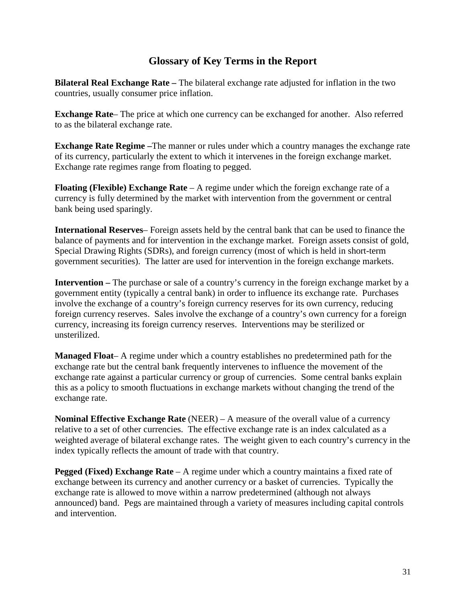# **Glossary of Key Terms in the Report**

<span id="page-32-0"></span>**Bilateral Real Exchange Rate –** The bilateral exchange rate adjusted for inflation in the two countries, usually consumer price inflation.

**Exchange Rate**– The price at which one currency can be exchanged for another. Also referred to as the bilateral exchange rate.

**Exchange Rate Regime –**The manner or rules under which a country manages the exchange rate of its currency, particularly the extent to which it intervenes in the foreign exchange market. Exchange rate regimes range from floating to pegged.

**Floating (Flexible) Exchange Rate** – A regime under which the foreign exchange rate of a currency is fully determined by the market with intervention from the government or central bank being used sparingly.

**International Reserves**– Foreign assets held by the central bank that can be used to finance the balance of payments and for intervention in the exchange market. Foreign assets consist of gold, Special Drawing Rights (SDRs), and foreign currency (most of which is held in short-term government securities). The latter are used for intervention in the foreign exchange markets.

**Intervention –** The purchase or sale of a country's currency in the foreign exchange market by a government entity (typically a central bank) in order to influence its exchange rate. Purchases involve the exchange of a country's foreign currency reserves for its own currency, reducing foreign currency reserves. Sales involve the exchange of a country's own currency for a foreign currency, increasing its foreign currency reserves. Interventions may be sterilized or unsterilized.

**Managed Float**– A regime under which a country establishes no predetermined path for the exchange rate but the central bank frequently intervenes to influence the movement of the exchange rate against a particular currency or group of currencies. Some central banks explain this as a policy to smooth fluctuations in exchange markets without changing the trend of the exchange rate.

**Nominal Effective Exchange Rate** (NEER) – A measure of the overall value of a currency relative to a set of other currencies. The effective exchange rate is an index calculated as a weighted average of bilateral exchange rates. The weight given to each country's currency in the index typically reflects the amount of trade with that country.

**Pegged (Fixed) Exchange Rate** – A regime under which a country maintains a fixed rate of exchange between its currency and another currency or a basket of currencies. Typically the exchange rate is allowed to move within a narrow predetermined (although not always announced) band. Pegs are maintained through a variety of measures including capital controls and intervention.